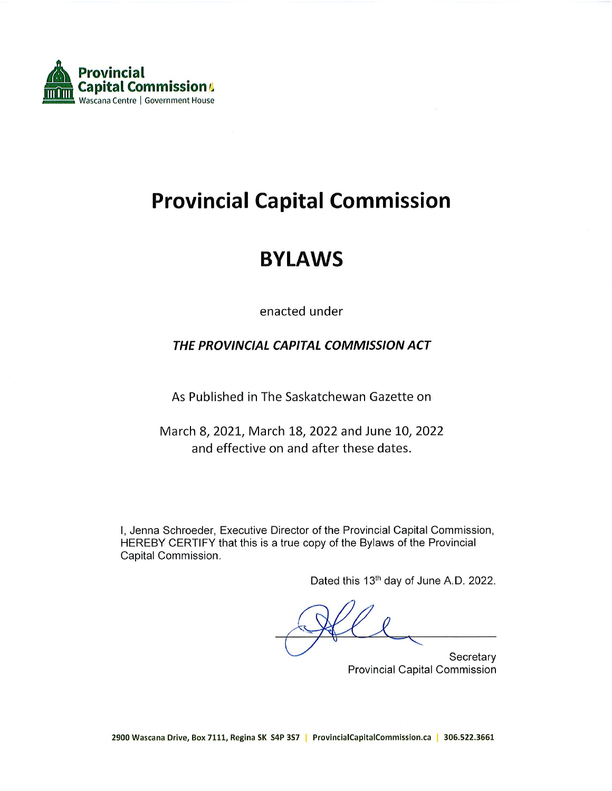

# **Provincial Capital Commission**

# **BYLAWS**

enacted under

### THE PROVINCIAL CAPITAL COMMISSION ACT

As Published in The Saskatchewan Gazette on

March 8, 2021, March 18, 2022 and June 10, 2022 and effective on and after these dates.

I, Jenna Schroeder, Executive Director of the Provincial Capital Commission, HEREBY CERTIFY that this is a true copy of the Bylaws of the Provincial Capital Commission.

Dated this 13th day of June A.D. 2022.

Secretary **Provincial Capital Commission**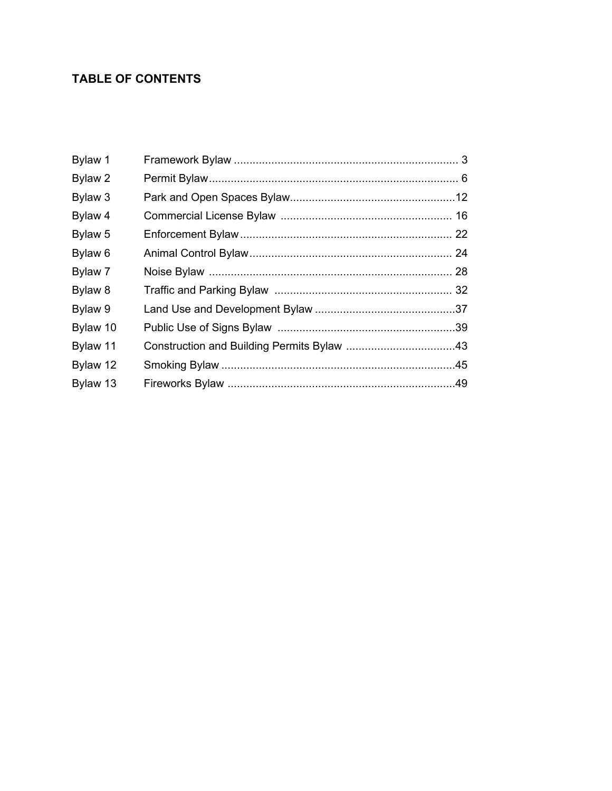### **TABLE OF CONTENTS**

| Bylaw 1  |  |
|----------|--|
| Bylaw 2  |  |
| Bylaw 3  |  |
| Bylaw 4  |  |
| Bylaw 5  |  |
| Bylaw 6  |  |
| Bylaw 7  |  |
| Bylaw 8  |  |
| Bylaw 9  |  |
| Bylaw 10 |  |
| Bylaw 11 |  |
| Bylaw 12 |  |
| Bylaw 13 |  |
|          |  |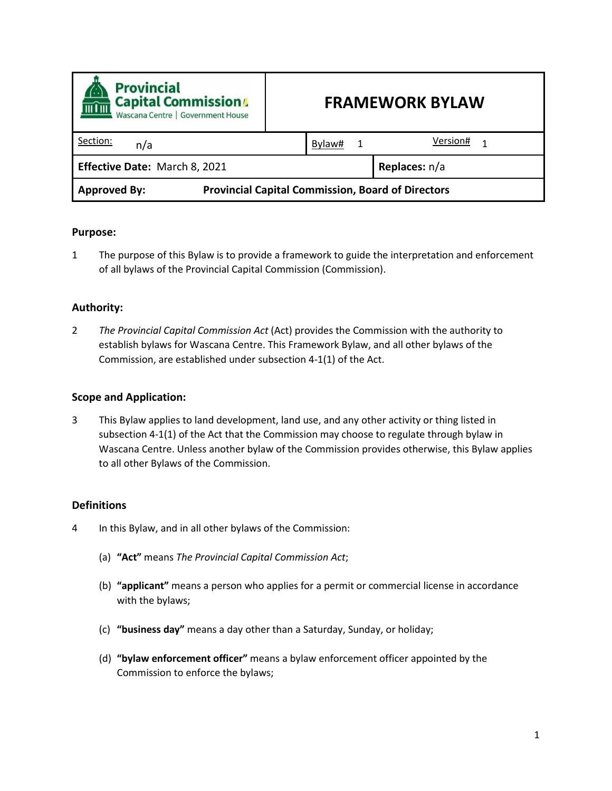<span id="page-2-0"></span>

| <b>Provincial</b><br><b>Capital Commission</b><br><u>im î mi</u><br>Wascana Centre   Government House | <b>FRAMEWORK BYLAW</b> |  |  |
|-------------------------------------------------------------------------------------------------------|------------------------|--|--|
| Section:<br>n/a                                                                                       | Version#<br>Bylaw#     |  |  |
| Effective Date: March 8, 2021                                                                         | Replaces: n/a          |  |  |
| <b>Provincial Capital Commission, Board of Directors</b><br><b>Approved By:</b>                       |                        |  |  |

1 The purpose of this Bylaw is to provide a framework to guide the interpretation and enforcement of all bylaws of the Provincial Capital Commission (Commission).

#### **Authority:**

2 *The Provincial Capital Commission Act* (Act) provides the Commission with the authority to establish bylaws for Wascana Centre. This Framework Bylaw, and all other bylaws of the Commission, are established under subsection 4-1(1) of the Act.

#### **Scope and Application:**

3 This Bylaw applies to land development, land use, and any other activity or thing listed in subsection 4-1(1) of the Act that the Commission may choose to regulate through bylaw in Wascana Centre. Unless another bylaw of the Commission provides otherwise, this Bylaw applies to all other Bylaws of the Commission.

#### **Definitions**

- 4 In this Bylaw, and in all other bylaws of the Commission:
	- (a) **"Act"** means *The Provincial Capital Commission Act*;
	- (b) **"applicant"** means a person who applies for a permit or commercial license in accordance with the bylaws;
	- (c) **"business day"** means a day other than a Saturday, Sunday, or holiday;
	- (d) **"bylaw enforcement officer"** means a bylaw enforcement officer appointed by the Commission to enforce the bylaws;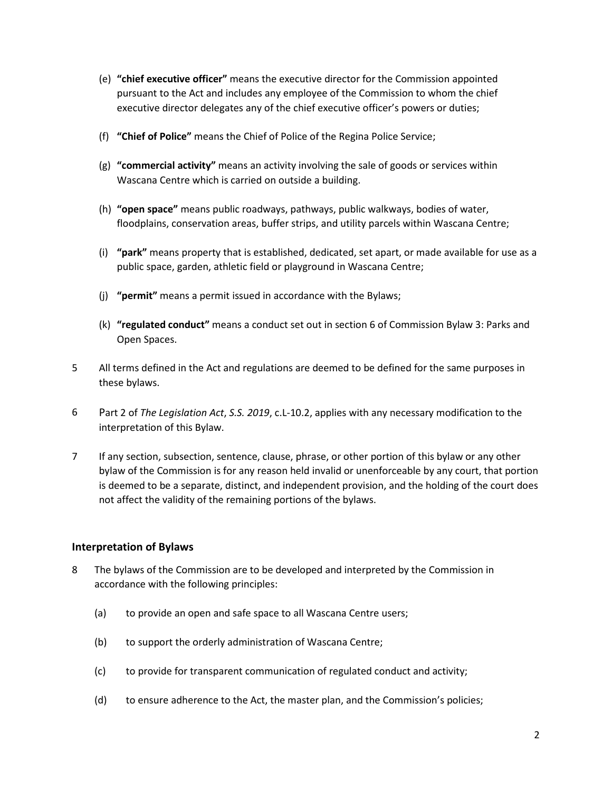- (e) **"chief executive officer"** means the executive director for the Commission appointed pursuant to the Act and includes any employee of the Commission to whom the chief executive director delegates any of the chief executive officer's powers or duties;
- (f) **"Chief of Police"** means the Chief of Police of the Regina Police Service;
- (g) **"commercial activity"** means an activity involving the sale of goods or services within Wascana Centre which is carried on outside a building.
- (h) **"open space"** means public roadways, pathways, public walkways, bodies of water, floodplains, conservation areas, buffer strips, and utility parcels within Wascana Centre;
- (i) **"park"** means property that is established, dedicated, set apart, or made available for use as a public space, garden, athletic field or playground in Wascana Centre;
- (j) **"permit"** means a permit issued in accordance with the Bylaws;
- (k) **"regulated conduct"** means a conduct set out in section 6 of Commission Bylaw 3: Parks and Open Spaces.
- 5 All terms defined in the Act and regulations are deemed to be defined for the same purposes in these bylaws.
- 6 Part 2 of *The Legislation Act*, *S.S. 2019*, c.L-10.2, applies with any necessary modification to the interpretation of this Bylaw.
- 7 If any section, subsection, sentence, clause, phrase, or other portion of this bylaw or any other bylaw of the Commission is for any reason held invalid or unenforceable by any court, that portion is deemed to be a separate, distinct, and independent provision, and the holding of the court does not affect the validity of the remaining portions of the bylaws.

#### **Interpretation of Bylaws**

- 8 The bylaws of the Commission are to be developed and interpreted by the Commission in accordance with the following principles:
	- (a) to provide an open and safe space to all Wascana Centre users;
	- (b) to support the orderly administration of Wascana Centre;
	- (c) to provide for transparent communication of regulated conduct and activity;
	- (d) to ensure adherence to the Act, the master plan, and the Commission's policies;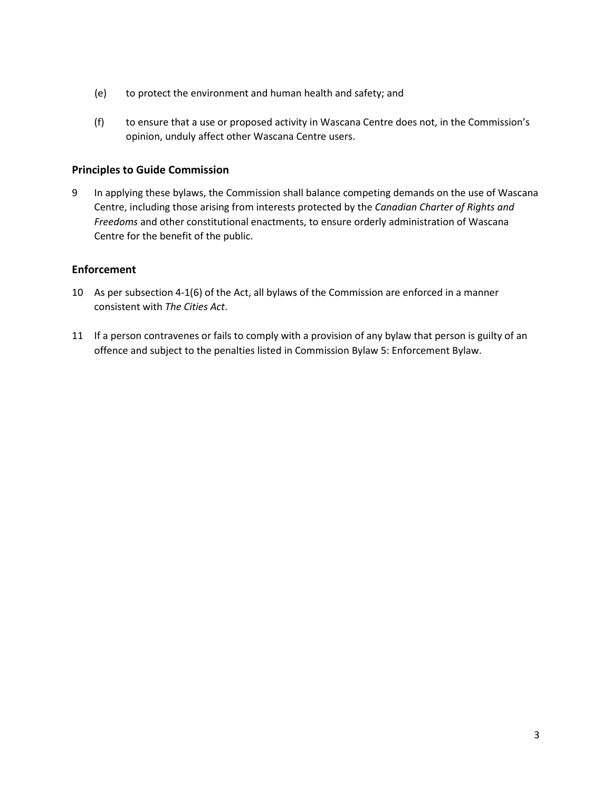- (e) to protect the environment and human health and safety; and
- (f) to ensure that a use or proposed activity in Wascana Centre does not, in the Commission's opinion, unduly affect other Wascana Centre users.

#### **Principles to Guide Commission**

9 In applying these bylaws, the Commission shall balance competing demands on the use of Wascana Centre, including those arising from interests protected by the *Canadian Charter of Rights and Freedoms* and other constitutional enactments, to ensure orderly administration of Wascana Centre for the benefit of the public.

#### **Enforcement**

- 10 As per subsection 4-1(6) of the Act, all bylaws of the Commission are enforced in a manner consistent with *The Cities Act*.
- 11 If a person contravenes or fails to comply with a provision of any bylaw that person is guilty of an offence and subject to the penalties listed in Commission Bylaw 5: Enforcement Bylaw.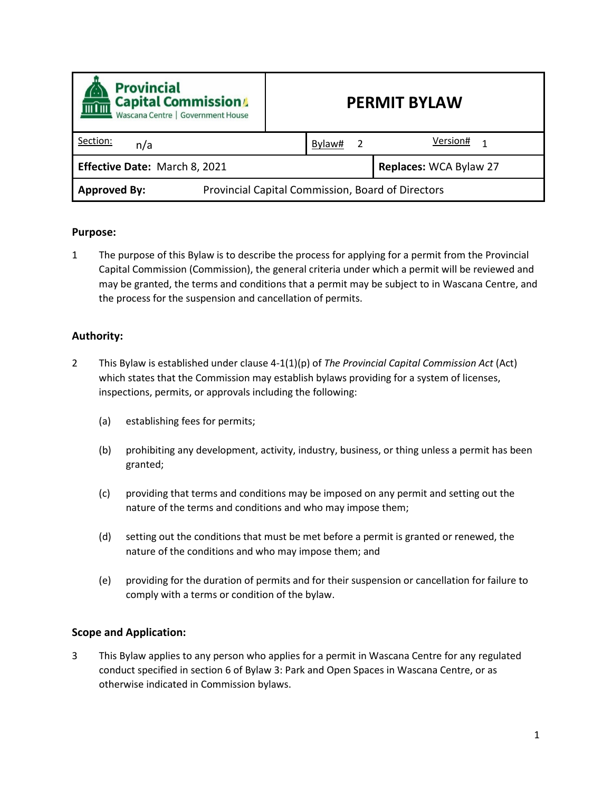<span id="page-5-0"></span>

| <b>Provincial</b><br><b>Capital Commission</b><br><u>m um </u><br>Wascana Centre   Government House | <b>PERMIT BYLAW</b>     |  |  |
|-----------------------------------------------------------------------------------------------------|-------------------------|--|--|
| Section:<br>n/a                                                                                     | Version#<br>Bylaw#<br>2 |  |  |
| Effective Date: March 8, 2021                                                                       | Replaces: WCA Bylaw 27  |  |  |
| Provincial Capital Commission, Board of Directors<br><b>Approved By:</b>                            |                         |  |  |

1 The purpose of this Bylaw is to describe the process for applying for a permit from the Provincial Capital Commission (Commission), the general criteria under which a permit will be reviewed and may be granted, the terms and conditions that a permit may be subject to in Wascana Centre, and the process for the suspension and cancellation of permits.

#### **Authority:**

- 2 This Bylaw is established under clause 4-1(1)(p) of *The Provincial Capital Commission Act* (Act) which states that the Commission may establish bylaws providing for a system of licenses, inspections, permits, or approvals including the following:
	- (a) establishing fees for permits;
	- (b) prohibiting any development, activity, industry, business, or thing unless a permit has been granted;
	- (c) providing that terms and conditions may be imposed on any permit and setting out the nature of the terms and conditions and who may impose them;
	- (d) setting out the conditions that must be met before a permit is granted or renewed, the nature of the conditions and who may impose them; and
	- (e) providing for the duration of permits and for their suspension or cancellation for failure to comply with a terms or condition of the bylaw.

#### **Scope and Application:**

3 This Bylaw applies to any person who applies for a permit in Wascana Centre for any regulated conduct specified in section 6 of Bylaw 3: Park and Open Spaces in Wascana Centre, or as otherwise indicated in Commission bylaws.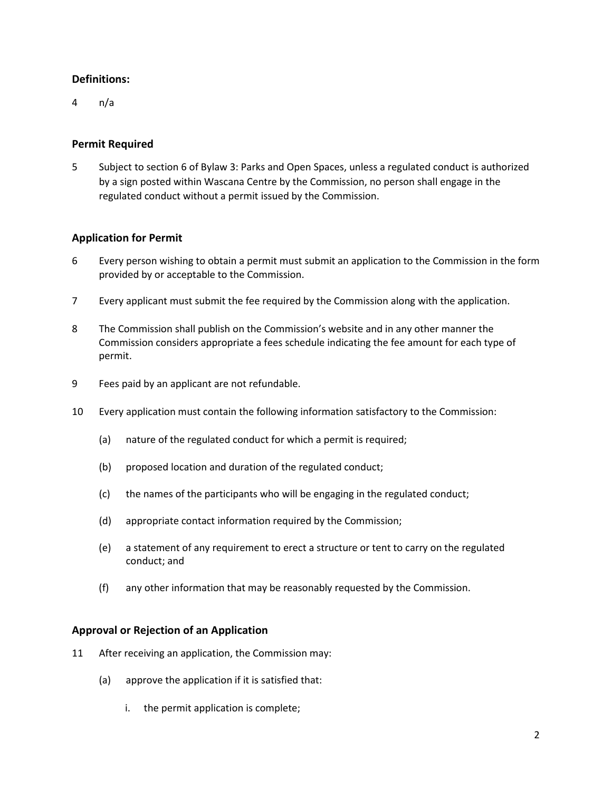#### **Definitions:**

4 n/a

#### **Permit Required**

5 Subject to section 6 of Bylaw 3: Parks and Open Spaces, unless a regulated conduct is authorized by a sign posted within Wascana Centre by the Commission, no person shall engage in the regulated conduct without a permit issued by the Commission.

#### **Application for Permit**

- 6 Every person wishing to obtain a permit must submit an application to the Commission in the form provided by or acceptable to the Commission.
- 7 Every applicant must submit the fee required by the Commission along with the application.
- 8 The Commission shall publish on the Commission's website and in any other manner the Commission considers appropriate a fees schedule indicating the fee amount for each type of permit.
- 9 Fees paid by an applicant are not refundable.
- 10 Every application must contain the following information satisfactory to the Commission:
	- (a) nature of the regulated conduct for which a permit is required;
	- (b) proposed location and duration of the regulated conduct;
	- (c) the names of the participants who will be engaging in the regulated conduct;
	- (d) appropriate contact information required by the Commission;
	- (e) a statement of any requirement to erect a structure or tent to carry on the regulated conduct; and
	- (f) any other information that may be reasonably requested by the Commission.

#### **Approval or Rejection of an Application**

- 11 After receiving an application, the Commission may:
	- (a) approve the application if it is satisfied that:
		- i. the permit application is complete;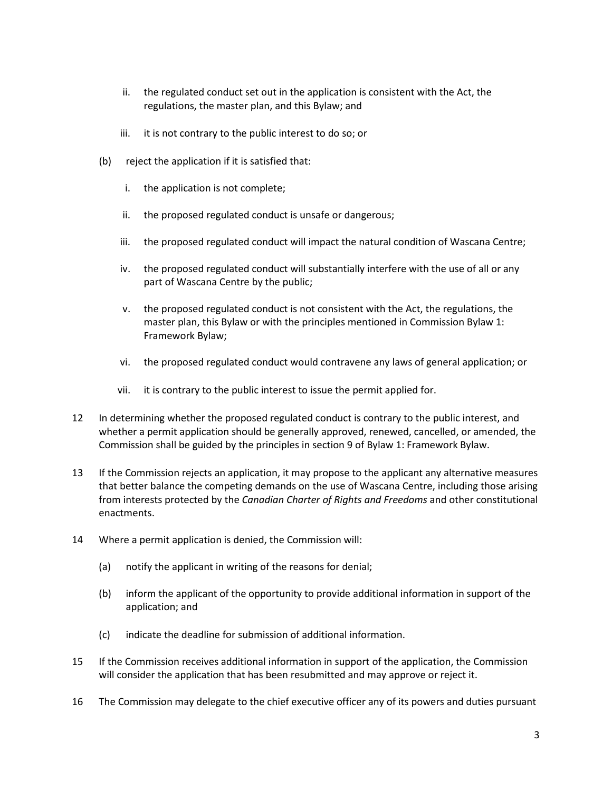- ii. the regulated conduct set out in the application is consistent with the Act, the regulations, the master plan, and this Bylaw; and
- iii. it is not contrary to the public interest to do so; or
- (b) reject the application if it is satisfied that:
	- i. the application is not complete;
	- ii. the proposed regulated conduct is unsafe or dangerous;
	- iii. the proposed regulated conduct will impact the natural condition of Wascana Centre;
	- iv. the proposed regulated conduct will substantially interfere with the use of all or any part of Wascana Centre by the public;
	- v. the proposed regulated conduct is not consistent with the Act, the regulations, the master plan, this Bylaw or with the principles mentioned in Commission Bylaw 1: Framework Bylaw;
	- vi. the proposed regulated conduct would contravene any laws of general application; or
	- vii. it is contrary to the public interest to issue the permit applied for.
- 12 In determining whether the proposed regulated conduct is contrary to the public interest, and whether a permit application should be generally approved, renewed, cancelled, or amended, the Commission shall be guided by the principles in section 9 of Bylaw 1: Framework Bylaw.
- 13 If the Commission rejects an application, it may propose to the applicant any alternative measures that better balance the competing demands on the use of Wascana Centre, including those arising from interests protected by the *Canadian Charter of Rights and Freedoms* and other constitutional enactments.
- 14 Where a permit application is denied, the Commission will:
	- (a) notify the applicant in writing of the reasons for denial;
	- (b) inform the applicant of the opportunity to provide additional information in support of the application; and
	- (c) indicate the deadline for submission of additional information.
- 15 If the Commission receives additional information in support of the application, the Commission will consider the application that has been resubmitted and may approve or reject it.
- 16 The Commission may delegate to the chief executive officer any of its powers and duties pursuant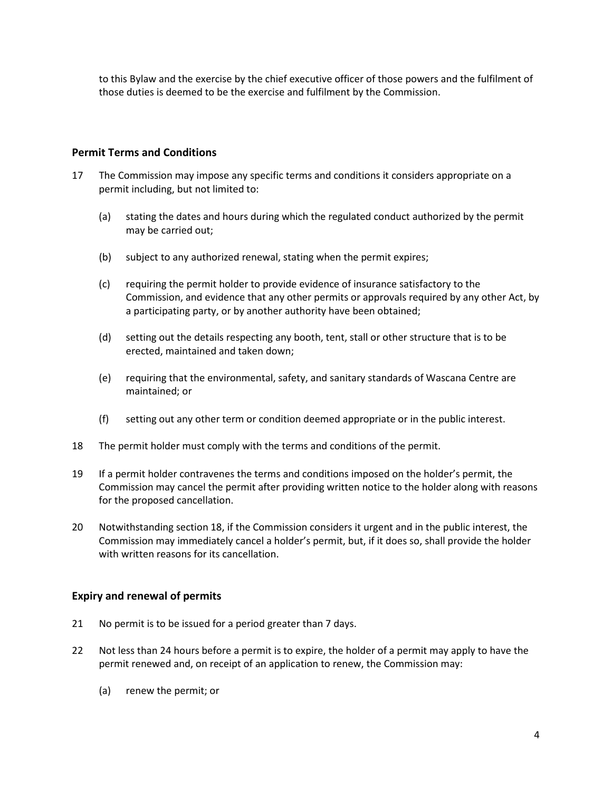to this Bylaw and the exercise by the chief executive officer of those powers and the fulfilment of those duties is deemed to be the exercise and fulfilment by the Commission.

#### **Permit Terms and Conditions**

- 17 The Commission may impose any specific terms and conditions it considers appropriate on a permit including, but not limited to:
	- (a) stating the dates and hours during which the regulated conduct authorized by the permit may be carried out;
	- (b) subject to any authorized renewal, stating when the permit expires;
	- (c) requiring the permit holder to provide evidence of insurance satisfactory to the Commission, and evidence that any other permits or approvals required by any other Act, by a participating party, or by another authority have been obtained;
	- (d) setting out the details respecting any booth, tent, stall or other structure that is to be erected, maintained and taken down;
	- (e) requiring that the environmental, safety, and sanitary standards of Wascana Centre are maintained; or
	- (f) setting out any other term or condition deemed appropriate or in the public interest.
- 18 The permit holder must comply with the terms and conditions of the permit.
- 19 If a permit holder contravenes the terms and conditions imposed on the holder's permit, the Commission may cancel the permit after providing written notice to the holder along with reasons for the proposed cancellation.
- 20 Notwithstanding section 18, if the Commission considers it urgent and in the public interest, the Commission may immediately cancel a holder's permit, but, if it does so, shall provide the holder with written reasons for its cancellation.

#### **Expiry and renewal of permits**

- 21 No permit is to be issued for a period greater than 7 days.
- 22 Not less than 24 hours before a permit is to expire, the holder of a permit may apply to have the permit renewed and, on receipt of an application to renew, the Commission may:
	- (a) renew the permit; or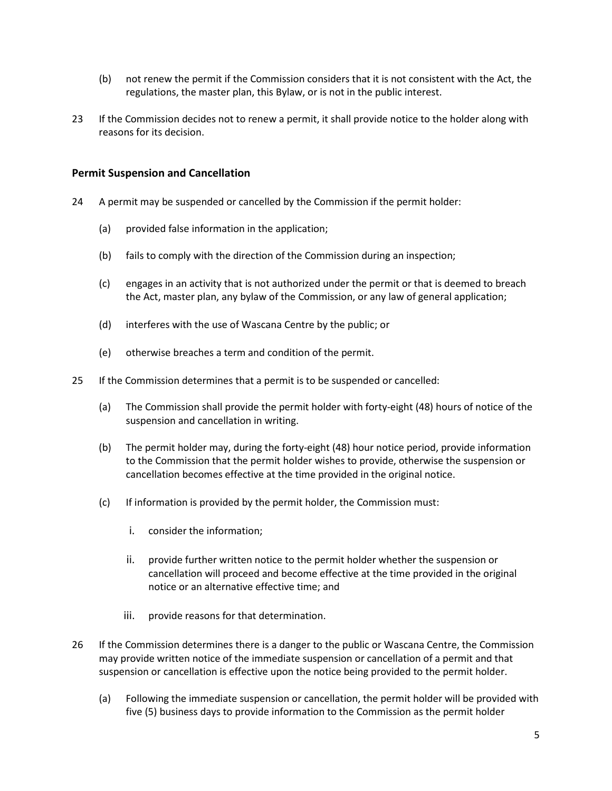- (b) not renew the permit if the Commission considers that it is not consistent with the Act, the regulations, the master plan, this Bylaw, or is not in the public interest.
- 23 If the Commission decides not to renew a permit, it shall provide notice to the holder along with reasons for its decision.

#### **Permit Suspension and Cancellation**

- 24 A permit may be suspended or cancelled by the Commission if the permit holder:
	- (a) provided false information in the application;
	- (b) fails to comply with the direction of the Commission during an inspection;
	- (c) engages in an activity that is not authorized under the permit or that is deemed to breach the Act, master plan, any bylaw of the Commission, or any law of general application;
	- (d) interferes with the use of Wascana Centre by the public; or
	- (e) otherwise breaches a term and condition of the permit.
- 25 If the Commission determines that a permit is to be suspended or cancelled:
	- (a) The Commission shall provide the permit holder with forty-eight (48) hours of notice of the suspension and cancellation in writing.
	- (b) The permit holder may, during the forty-eight (48) hour notice period, provide information to the Commission that the permit holder wishes to provide, otherwise the suspension or cancellation becomes effective at the time provided in the original notice.
	- (c) If information is provided by the permit holder, the Commission must:
		- i. consider the information;
		- ii. provide further written notice to the permit holder whether the suspension or cancellation will proceed and become effective at the time provided in the original notice or an alternative effective time; and
		- iii. provide reasons for that determination.
- 26 If the Commission determines there is a danger to the public or Wascana Centre, the Commission may provide written notice of the immediate suspension or cancellation of a permit and that suspension or cancellation is effective upon the notice being provided to the permit holder.
	- (a) Following the immediate suspension or cancellation, the permit holder will be provided with five (5) business days to provide information to the Commission as the permit holder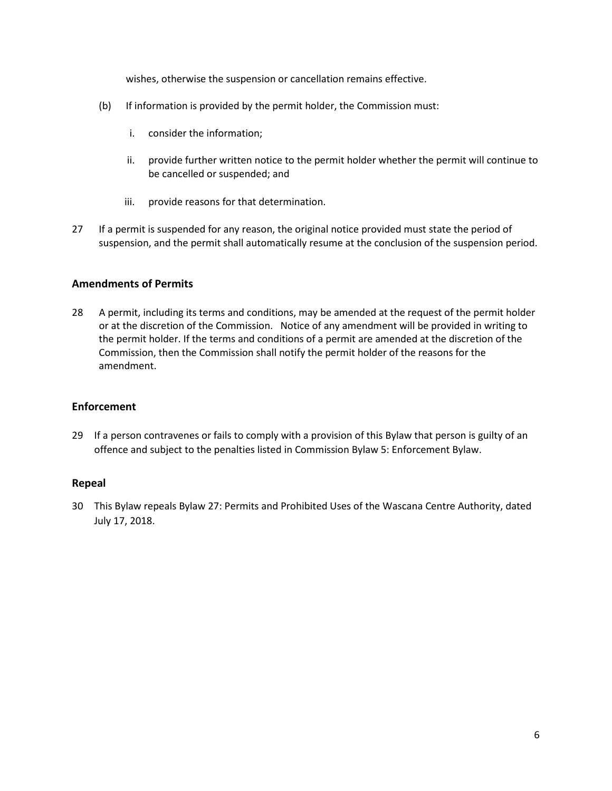wishes, otherwise the suspension or cancellation remains effective.

- (b) If information is provided by the permit holder, the Commission must:
	- i. consider the information;
	- ii. provide further written notice to the permit holder whether the permit will continue to be cancelled or suspended; and
	- iii. provide reasons for that determination.
- 27 If a permit is suspended for any reason, the original notice provided must state the period of suspension, and the permit shall automatically resume at the conclusion of the suspension period.

#### **Amendments of Permits**

28 A permit, including its terms and conditions, may be amended at the request of the permit holder or at the discretion of the Commission. Notice of any amendment will be provided in writing to the permit holder. If the terms and conditions of a permit are amended at the discretion of the Commission, then the Commission shall notify the permit holder of the reasons for the amendment.

#### **Enforcement**

29 If a person contravenes or fails to comply with a provision of this Bylaw that person is guilty of an offence and subject to the penalties listed in Commission Bylaw 5: Enforcement Bylaw.

#### **Repeal**

30 This Bylaw repeals Bylaw 27: Permits and Prohibited Uses of the Wascana Centre Authority, dated July 17, 2018.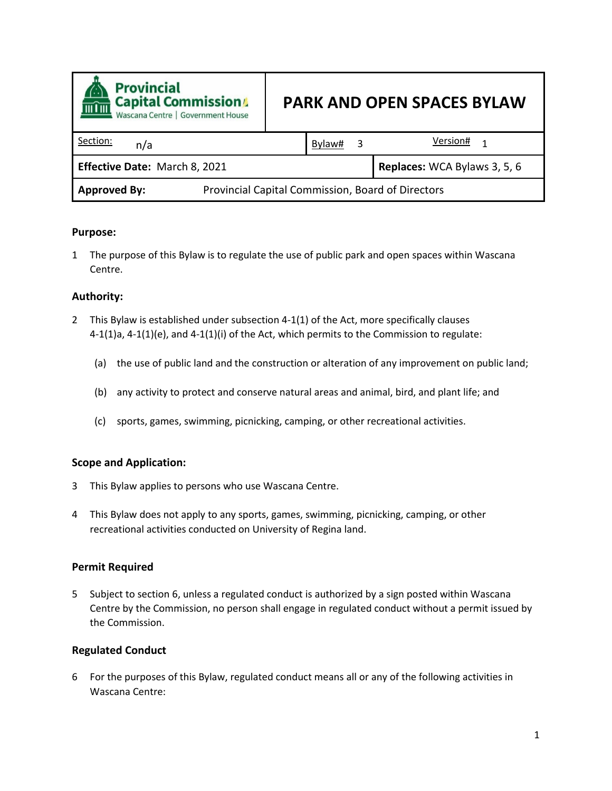<span id="page-11-0"></span>

| <b>Provincial</b><br><b>Capital Commission</b><br><u>mîm</u><br>Wascana Centre   Government House | <b>PARK AND OPEN SPACES BYLAW</b> |        |   |                              |
|---------------------------------------------------------------------------------------------------|-----------------------------------|--------|---|------------------------------|
| Section:<br>n/a                                                                                   |                                   | Bylaw# | 3 | Version#<br>1                |
| Effective Date: March 8, 2021                                                                     |                                   |        |   | Replaces: WCA Bylaws 3, 5, 6 |
| Provincial Capital Commission, Board of Directors<br><b>Approved By:</b>                          |                                   |        |   |                              |

1 The purpose of this Bylaw is to regulate the use of public park and open spaces within Wascana Centre.

#### **Authority:**

- 2 This Bylaw is established under subsection 4-1(1) of the Act, more specifically clauses  $4-1(1)a$ ,  $4-1(1)(e)$ , and  $4-1(1)(i)$  of the Act, which permits to the Commission to regulate:
	- (a) the use of public land and the construction or alteration of any improvement on public land;
	- (b) any activity to protect and conserve natural areas and animal, bird, and plant life; and
	- (c) sports, games, swimming, picnicking, camping, or other recreational activities.

#### **Scope and Application:**

- 3 This Bylaw applies to persons who use Wascana Centre.
- 4 This Bylaw does not apply to any sports, games, swimming, picnicking, camping, or other recreational activities conducted on University of Regina land.

#### **Permit Required**

5 Subject to section 6, unless a regulated conduct is authorized by a sign posted within Wascana Centre by the Commission, no person shall engage in regulated conduct without a permit issued by the Commission.

#### **Regulated Conduct**

6 For the purposes of this Bylaw, regulated conduct means all or any of the following activities in Wascana Centre: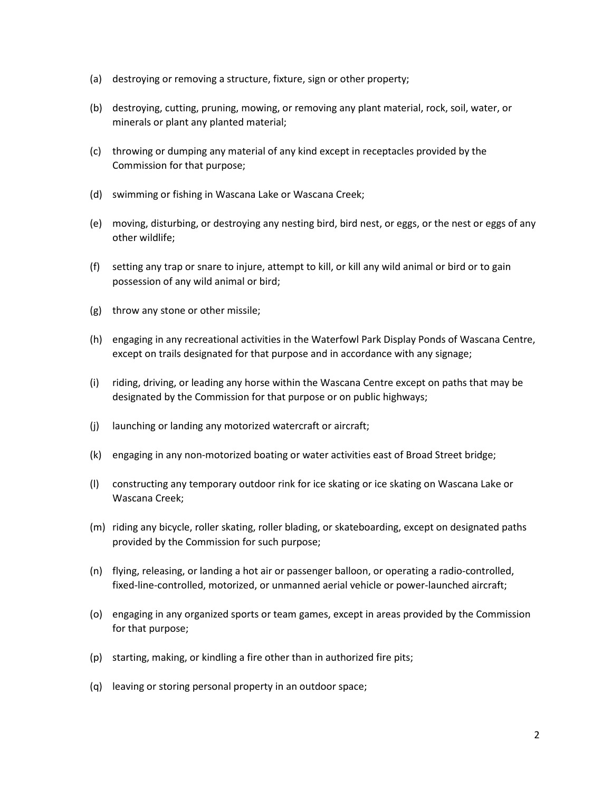- (a) destroying or removing a structure, fixture, sign or other property;
- (b) destroying, cutting, pruning, mowing, or removing any plant material, rock, soil, water, or minerals or plant any planted material;
- (c) throwing or dumping any material of any kind except in receptacles provided by the Commission for that purpose;
- (d) swimming or fishing in Wascana Lake or Wascana Creek;
- (e) moving, disturbing, or destroying any nesting bird, bird nest, or eggs, or the nest or eggs of any other wildlife;
- (f) setting any trap or snare to injure, attempt to kill, or kill any wild animal or bird or to gain possession of any wild animal or bird;
- (g) throw any stone or other missile;
- (h) engaging in any recreational activities in the Waterfowl Park Display Ponds of Wascana Centre, except on trails designated for that purpose and in accordance with any signage;
- (i) riding, driving, or leading any horse within the Wascana Centre except on paths that may be designated by the Commission for that purpose or on public highways;
- (j) launching or landing any motorized watercraft or aircraft;
- (k) engaging in any non-motorized boating or water activities east of Broad Street bridge;
- (l) constructing any temporary outdoor rink for ice skating or ice skating on Wascana Lake or Wascana Creek;
- (m) riding any bicycle, roller skating, roller blading, or skateboarding, except on designated paths provided by the Commission for such purpose;
- (n) flying, releasing, or landing a hot air or passenger balloon, or operating a radio-controlled, fixed-line-controlled, motorized, or unmanned aerial vehicle or power-launched aircraft;
- (o) engaging in any organized sports or team games, except in areas provided by the Commission for that purpose;
- (p) starting, making, or kindling a fire other than in authorized fire pits;
- (q) leaving or storing personal property in an outdoor space;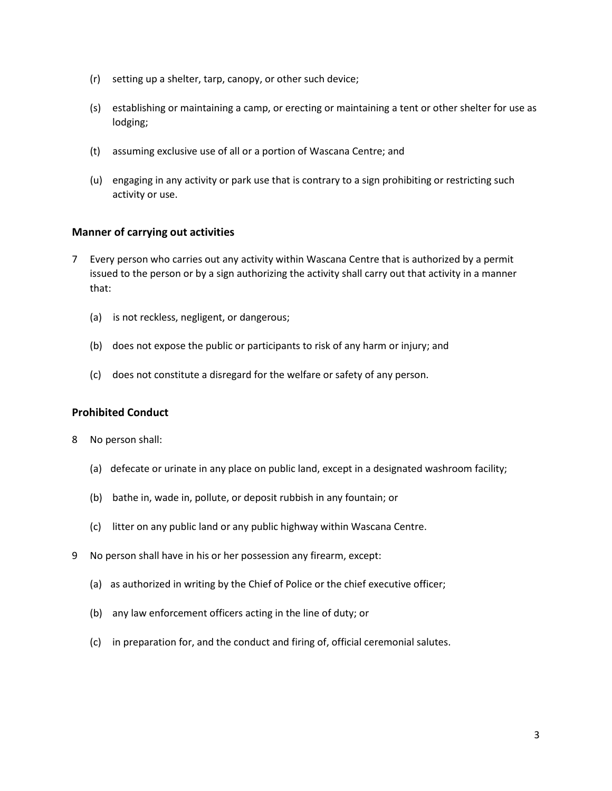- (r) setting up a shelter, tarp, canopy, or other such device;
- (s) establishing or maintaining a camp, or erecting or maintaining a tent or other shelter for use as lodging;
- (t) assuming exclusive use of all or a portion of Wascana Centre; and
- (u) engaging in any activity or park use that is contrary to a sign prohibiting or restricting such activity or use.

#### **Manner of carrying out activities**

- 7 Every person who carries out any activity within Wascana Centre that is authorized by a permit issued to the person or by a sign authorizing the activity shall carry out that activity in a manner that:
	- (a) is not reckless, negligent, or dangerous;
	- (b) does not expose the public or participants to risk of any harm or injury; and
	- (c) does not constitute a disregard for the welfare or safety of any person.

#### **Prohibited Conduct**

- 8 No person shall:
	- (a) defecate or urinate in any place on public land, except in a designated washroom facility;
	- (b) bathe in, wade in, pollute, or deposit rubbish in any fountain; or
	- (c) litter on any public land or any public highway within Wascana Centre.
- 9 No person shall have in his or her possession any firearm, except:
	- (a) as authorized in writing by the Chief of Police or the chief executive officer;
	- (b) any law enforcement officers acting in the line of duty; or
	- (c) in preparation for, and the conduct and firing of, official ceremonial salutes.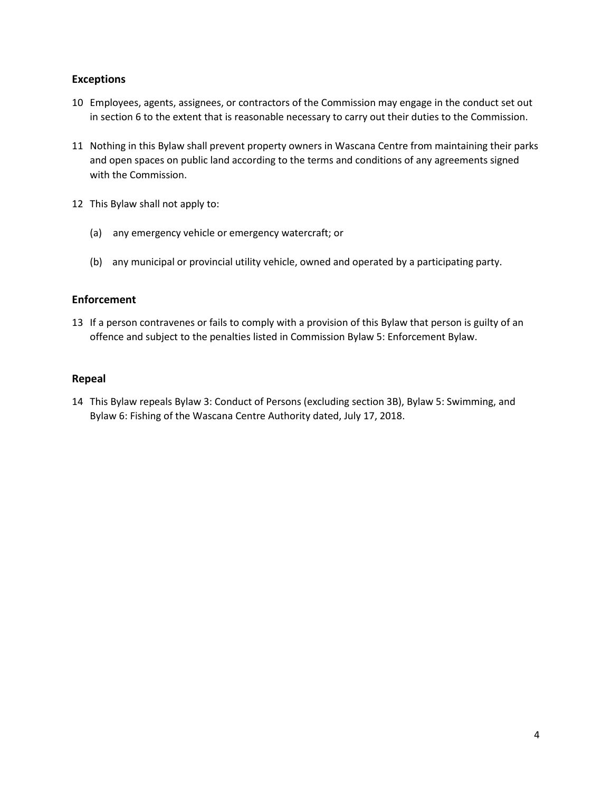#### **Exceptions**

- 10 Employees, agents, assignees, or contractors of the Commission may engage in the conduct set out in section 6 to the extent that is reasonable necessary to carry out their duties to the Commission.
- 11 Nothing in this Bylaw shall prevent property owners in Wascana Centre from maintaining their parks and open spaces on public land according to the terms and conditions of any agreements signed with the Commission.
- 12 This Bylaw shall not apply to:
	- (a) any emergency vehicle or emergency watercraft; or
	- (b) any municipal or provincial utility vehicle, owned and operated by a participating party.

#### **Enforcement**

13 If a person contravenes or fails to comply with a provision of this Bylaw that person is guilty of an offence and subject to the penalties listed in Commission Bylaw 5: Enforcement Bylaw.

#### **Repeal**

14 This Bylaw repeals Bylaw 3: Conduct of Persons (excluding section 3B), Bylaw 5: Swimming, and Bylaw 6: Fishing of the Wascana Centre Authority dated, July 17, 2018.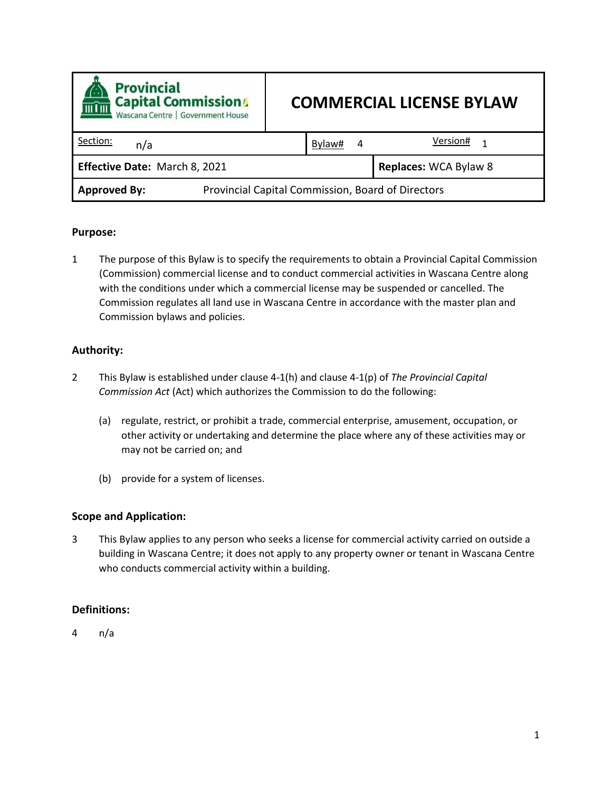<span id="page-15-0"></span>

| <b>Provincial</b><br>飍<br><b>Capital Commission</b><br>Wascana Centre   Government House | <b>COMMERCIAL LICENSE BYLAW</b> |        |   |                       |
|------------------------------------------------------------------------------------------|---------------------------------|--------|---|-----------------------|
| Section:<br>n/a                                                                          |                                 | Bylaw# | 4 | Version#              |
| Effective Date: March 8, 2021                                                            |                                 |        |   | Replaces: WCA Bylaw 8 |
| Provincial Capital Commission, Board of Directors<br><b>Approved By:</b>                 |                                 |        |   |                       |

1 The purpose of this Bylaw is to specify the requirements to obtain a Provincial Capital Commission (Commission) commercial license and to conduct commercial activities in Wascana Centre along with the conditions under which a commercial license may be suspended or cancelled. The Commission regulates all land use in Wascana Centre in accordance with the master plan and Commission bylaws and policies.

#### **Authority:**

- 2 This Bylaw is established under clause 4-1(h) and clause 4-1(p) of *The Provincial Capital Commission Act* (Act) which authorizes the Commission to do the following:
	- (a) regulate, restrict, or prohibit a trade, commercial enterprise, amusement, occupation, or other activity or undertaking and determine the place where any of these activities may or may not be carried on; and
	- (b) provide for a system of licenses.

#### **Scope and Application:**

3 This Bylaw applies to any person who seeks a license for commercial activity carried on outside a building in Wascana Centre; it does not apply to any property owner or tenant in Wascana Centre who conducts commercial activity within a building.

#### **Definitions:**

4 n/a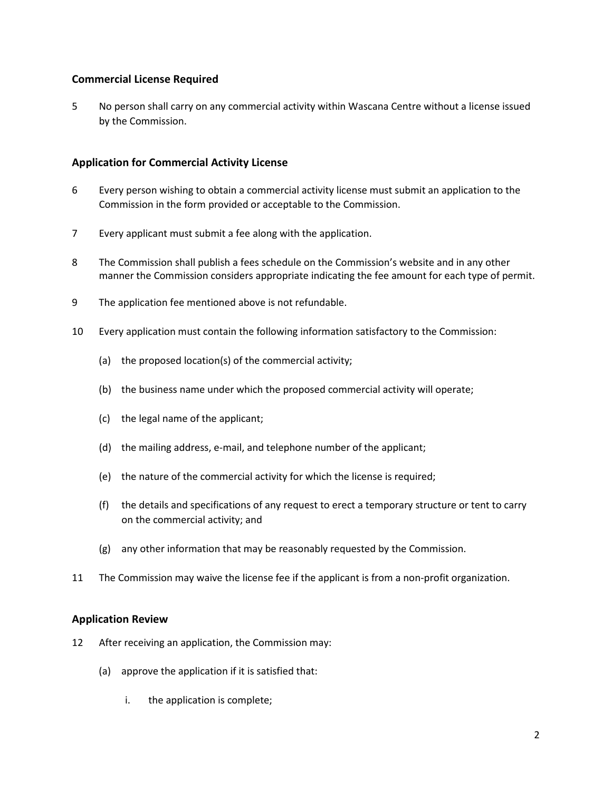#### **Commercial License Required**

5 No person shall carry on any commercial activity within Wascana Centre without a license issued by the Commission.

#### **Application for Commercial Activity License**

- 6 Every person wishing to obtain a commercial activity license must submit an application to the Commission in the form provided or acceptable to the Commission.
- 7 Every applicant must submit a fee along with the application.
- 8 The Commission shall publish a fees schedule on the Commission's website and in any other manner the Commission considers appropriate indicating the fee amount for each type of permit.
- 9 The application fee mentioned above is not refundable.
- 10 Every application must contain the following information satisfactory to the Commission:
	- (a) the proposed location(s) of the commercial activity;
	- (b) the business name under which the proposed commercial activity will operate;
	- (c) the legal name of the applicant;
	- (d) the mailing address, e-mail, and telephone number of the applicant;
	- (e) the nature of the commercial activity for which the license is required;
	- (f) the details and specifications of any request to erect a temporary structure or tent to carry on the commercial activity; and
	- (g) any other information that may be reasonably requested by the Commission.
- 11 The Commission may waive the license fee if the applicant is from a non-profit organization.

#### **Application Review**

- 12 After receiving an application, the Commission may:
	- (a) approve the application if it is satisfied that:
		- i. the application is complete;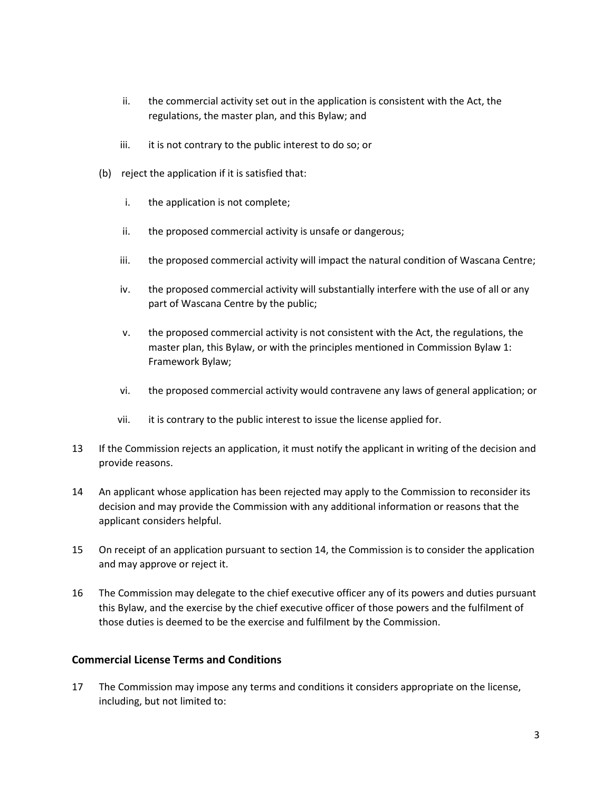- ii. the commercial activity set out in the application is consistent with the Act, the regulations, the master plan, and this Bylaw; and
- iii. it is not contrary to the public interest to do so; or
- (b) reject the application if it is satisfied that:
	- i. the application is not complete;
	- ii. the proposed commercial activity is unsafe or dangerous;
	- iii. the proposed commercial activity will impact the natural condition of Wascana Centre;
	- iv. the proposed commercial activity will substantially interfere with the use of all or any part of Wascana Centre by the public;
	- v. the proposed commercial activity is not consistent with the Act, the regulations, the master plan, this Bylaw, or with the principles mentioned in Commission Bylaw 1: Framework Bylaw;
	- vi. the proposed commercial activity would contravene any laws of general application; or
	- vii. it is contrary to the public interest to issue the license applied for.
- 13 If the Commission rejects an application, it must notify the applicant in writing of the decision and provide reasons.
- 14 An applicant whose application has been rejected may apply to the Commission to reconsider its decision and may provide the Commission with any additional information or reasons that the applicant considers helpful.
- 15 On receipt of an application pursuant to section 14, the Commission is to consider the application and may approve or reject it.
- 16 The Commission may delegate to the chief executive officer any of its powers and duties pursuant this Bylaw, and the exercise by the chief executive officer of those powers and the fulfilment of those duties is deemed to be the exercise and fulfilment by the Commission.

#### **Commercial License Terms and Conditions**

17 The Commission may impose any terms and conditions it considers appropriate on the license, including, but not limited to: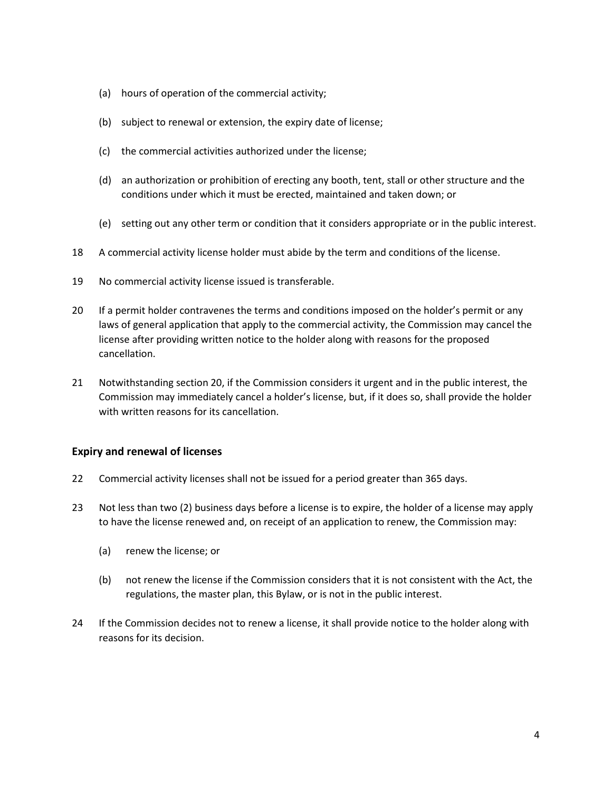- (a) hours of operation of the commercial activity;
- (b) subject to renewal or extension, the expiry date of license;
- (c) the commercial activities authorized under the license;
- (d) an authorization or prohibition of erecting any booth, tent, stall or other structure and the conditions under which it must be erected, maintained and taken down; or
- (e) setting out any other term or condition that it considers appropriate or in the public interest.
- 18 A commercial activity license holder must abide by the term and conditions of the license.
- 19 No commercial activity license issued is transferable.
- 20 If a permit holder contravenes the terms and conditions imposed on the holder's permit or any laws of general application that apply to the commercial activity, the Commission may cancel the license after providing written notice to the holder along with reasons for the proposed cancellation.
- 21 Notwithstanding section 20, if the Commission considers it urgent and in the public interest, the Commission may immediately cancel a holder's license, but, if it does so, shall provide the holder with written reasons for its cancellation.

#### **Expiry and renewal of licenses**

- 22 Commercial activity licenses shall not be issued for a period greater than 365 days.
- 23 Not less than two (2) business days before a license is to expire, the holder of a license may apply to have the license renewed and, on receipt of an application to renew, the Commission may:
	- (a) renew the license; or
	- (b) not renew the license if the Commission considers that it is not consistent with the Act, the regulations, the master plan, this Bylaw, or is not in the public interest.
- 24 If the Commission decides not to renew a license, it shall provide notice to the holder along with reasons for its decision.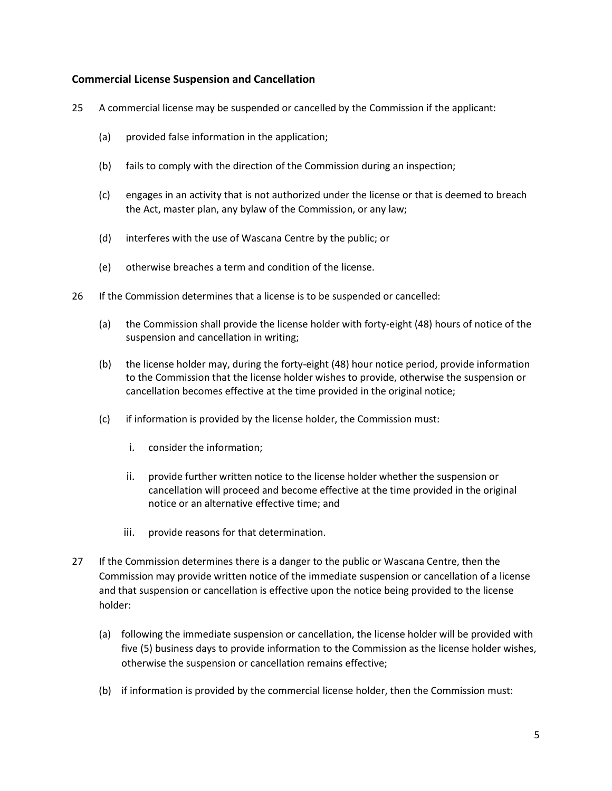#### **Commercial License Suspension and Cancellation**

- 25 A commercial license may be suspended or cancelled by the Commission if the applicant:
	- (a) provided false information in the application;
	- (b) fails to comply with the direction of the Commission during an inspection;
	- (c) engages in an activity that is not authorized under the license or that is deemed to breach the Act, master plan, any bylaw of the Commission, or any law;
	- (d) interferes with the use of Wascana Centre by the public; or
	- (e) otherwise breaches a term and condition of the license.
- 26 If the Commission determines that a license is to be suspended or cancelled:
	- (a) the Commission shall provide the license holder with forty-eight (48) hours of notice of the suspension and cancellation in writing;
	- (b) the license holder may, during the forty-eight (48) hour notice period, provide information to the Commission that the license holder wishes to provide, otherwise the suspension or cancellation becomes effective at the time provided in the original notice;
	- (c) if information is provided by the license holder, the Commission must:
		- i. consider the information;
		- ii. provide further written notice to the license holder whether the suspension or cancellation will proceed and become effective at the time provided in the original notice or an alternative effective time; and
		- iii. provide reasons for that determination.
- 27 If the Commission determines there is a danger to the public or Wascana Centre, then the Commission may provide written notice of the immediate suspension or cancellation of a license and that suspension or cancellation is effective upon the notice being provided to the license holder:
	- (a) following the immediate suspension or cancellation, the license holder will be provided with five (5) business days to provide information to the Commission as the license holder wishes, otherwise the suspension or cancellation remains effective;
	- (b) if information is provided by the commercial license holder, then the Commission must: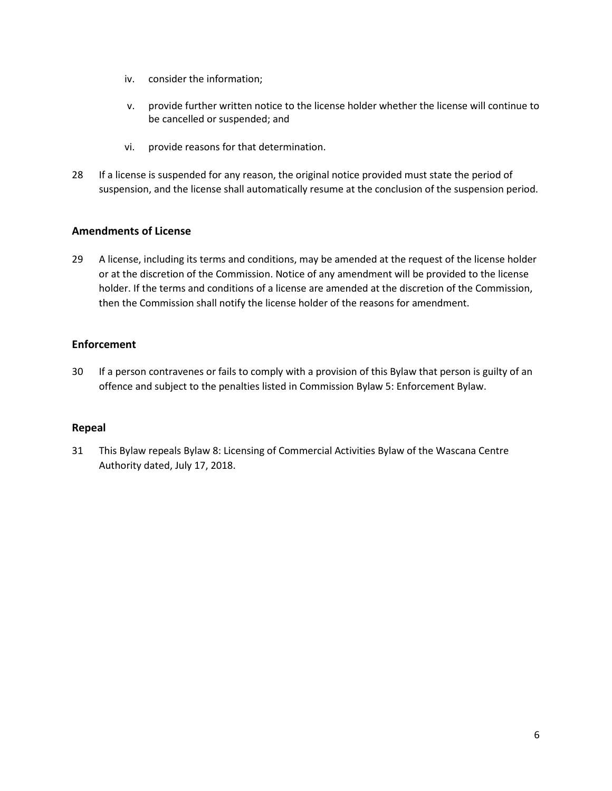- iv. consider the information;
- v. provide further written notice to the license holder whether the license will continue to be cancelled or suspended; and
- vi. provide reasons for that determination.
- 28 If a license is suspended for any reason, the original notice provided must state the period of suspension, and the license shall automatically resume at the conclusion of the suspension period.

#### **Amendments of License**

29 A license, including its terms and conditions, may be amended at the request of the license holder or at the discretion of the Commission. Notice of any amendment will be provided to the license holder. If the terms and conditions of a license are amended at the discretion of the Commission, then the Commission shall notify the license holder of the reasons for amendment.

#### **Enforcement**

30 If a person contravenes or fails to comply with a provision of this Bylaw that person is guilty of an offence and subject to the penalties listed in Commission Bylaw 5: Enforcement Bylaw.

#### **Repeal**

31 This Bylaw repeals Bylaw 8: Licensing of Commercial Activities Bylaw of the Wascana Centre Authority dated, July 17, 2018.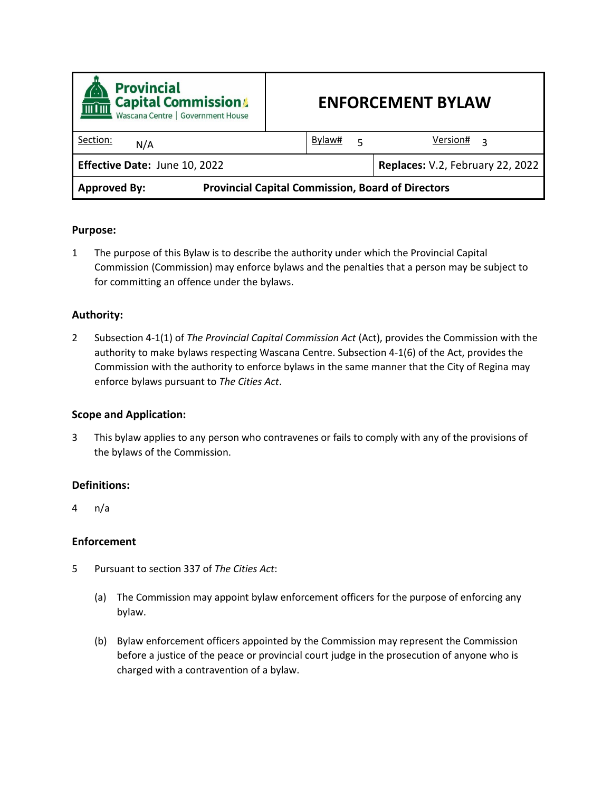<span id="page-21-0"></span>

| <b>Provincial</b><br><b>Capital Commission</b><br>Wascana Centre   Government House |        | <b>ENFORCEMENT BYLAW</b>         |  |
|-------------------------------------------------------------------------------------|--------|----------------------------------|--|
| Section:<br>N/A                                                                     | Bylaw# | Version#<br>3                    |  |
| Effective Date: June 10, 2022                                                       |        | Replaces: V.2, February 22, 2022 |  |
| <b>Provincial Capital Commission, Board of Directors</b><br><b>Approved By:</b>     |        |                                  |  |

1 The purpose of this Bylaw is to describe the authority under which the Provincial Capital Commission (Commission) may enforce bylaws and the penalties that a person may be subject to for committing an offence under the bylaws.

#### **Authority:**

2 Subsection 4-1(1) of *The Provincial Capital Commission Act* (Act), provides the Commission with the authority to make bylaws respecting Wascana Centre. Subsection 4-1(6) of the Act, provides the Commission with the authority to enforce bylaws in the same manner that the City of Regina may enforce bylaws pursuant to *The Cities Act*.

#### **Scope and Application:**

3 This bylaw applies to any person who contravenes or fails to comply with any of the provisions of the bylaws of the Commission.

#### **Definitions:**

4 n/a

#### **Enforcement**

- 5 Pursuant to section 337 of *The Cities Act*:
	- (a) The Commission may appoint bylaw enforcement officers for the purpose of enforcing any bylaw.
	- (b) Bylaw enforcement officers appointed by the Commission may represent the Commission before a justice of the peace or provincial court judge in the prosecution of anyone who is charged with a contravention of a bylaw.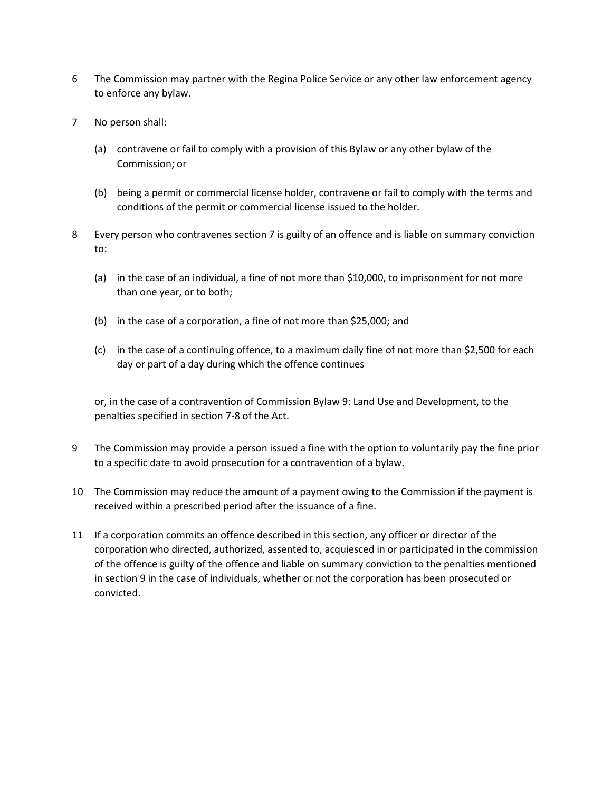- 6 The Commission may partner with the Regina Police Service or any other law enforcement agency to enforce any bylaw.
- 7 No person shall:
	- (a) contravene or fail to comply with a provision of this Bylaw or any other bylaw of the Commission; or
	- (b) being a permit or commercial license holder, contravene or fail to comply with the terms and conditions of the permit or commercial license issued to the holder.
- 8 Every person who contravenes section 7 is guilty of an offence and is liable on summary conviction to:
	- (a) in the case of an individual, a fine of not more than \$10,000, to imprisonment for not more than one year, or to both;
	- (b) in the case of a corporation, a fine of not more than \$25,000; and
	- (c) in the case of a continuing offence, to a maximum daily fine of not more than \$2,500 for each day or part of a day during which the offence continues

or, in the case of a contravention of Commission Bylaw 9: Land Use and Development, to the penalties specified in section 7-8 of the Act.

- 9 The Commission may provide a person issued a fine with the option to voluntarily pay the fine prior to a specific date to avoid prosecution for a contravention of a bylaw.
- 10 The Commission may reduce the amount of a payment owing to the Commission if the payment is received within a prescribed period after the issuance of a fine.
- 11 If a corporation commits an offence described in this section, any officer or director of the corporation who directed, authorized, assented to, acquiesced in or participated in the commission of the offence is guilty of the offence and liable on summary conviction to the penalties mentioned in section 9 in the case of individuals, whether or not the corporation has been prosecuted or convicted.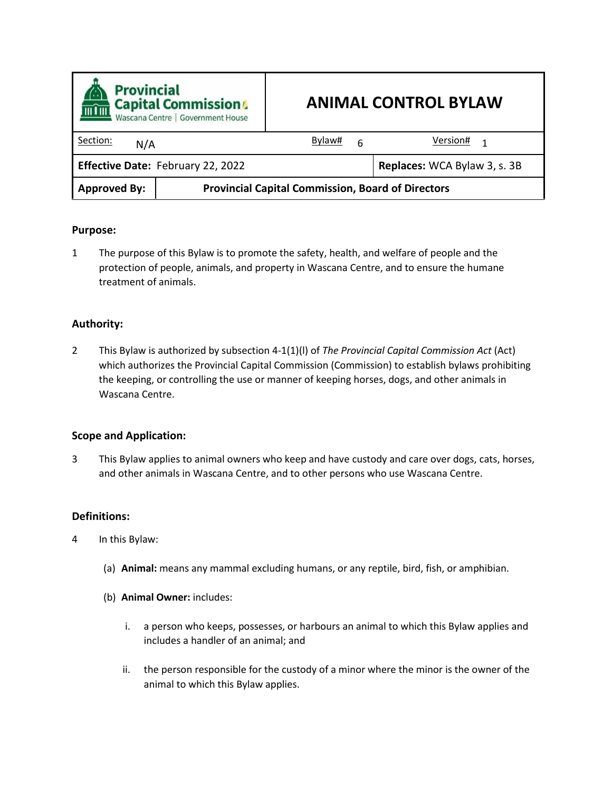<span id="page-23-0"></span>

| <b>Provincial</b><br><b>THE Capital Commission</b><br>Wascana Centre   Government House |                                                          | <b>ANIMAL CONTROL BYLAW</b> |   |                              |  |  |  |
|-----------------------------------------------------------------------------------------|----------------------------------------------------------|-----------------------------|---|------------------------------|--|--|--|
| Section:<br>N/A                                                                         |                                                          | Bylaw#                      | 6 | Version#<br>1                |  |  |  |
| Effective Date: February 22, 2022                                                       |                                                          |                             |   | Replaces: WCA Bylaw 3, s. 3B |  |  |  |
| <b>Approved By:</b>                                                                     | <b>Provincial Capital Commission, Board of Directors</b> |                             |   |                              |  |  |  |

1 The purpose of this Bylaw is to promote the safety, health, and welfare of people and the protection of people, animals, and property in Wascana Centre, and to ensure the humane treatment of animals.

#### **Authority:**

2 This Bylaw is authorized by subsection 4-1(1)(l) of *The Provincial Capital Commission Act* (Act) which authorizes the Provincial Capital Commission (Commission) to establish bylaws prohibiting the keeping, or controlling the use or manner of keeping horses, dogs, and other animals in Wascana Centre.

#### **Scope and Application:**

3 This Bylaw applies to animal owners who keep and have custody and care over dogs, cats, horses, and other animals in Wascana Centre, and to other persons who use Wascana Centre.

#### **Definitions:**

- 4 In this Bylaw:
	- (a) **Animal:** means any mammal excluding humans, or any reptile, bird, fish, or amphibian.
	- (b) **Animal Owner:** includes:
		- i. a person who keeps, possesses, or harbours an animal to which this Bylaw applies and includes a handler of an animal; and
		- ii. the person responsible for the custody of a minor where the minor is the owner of the animal to which this Bylaw applies.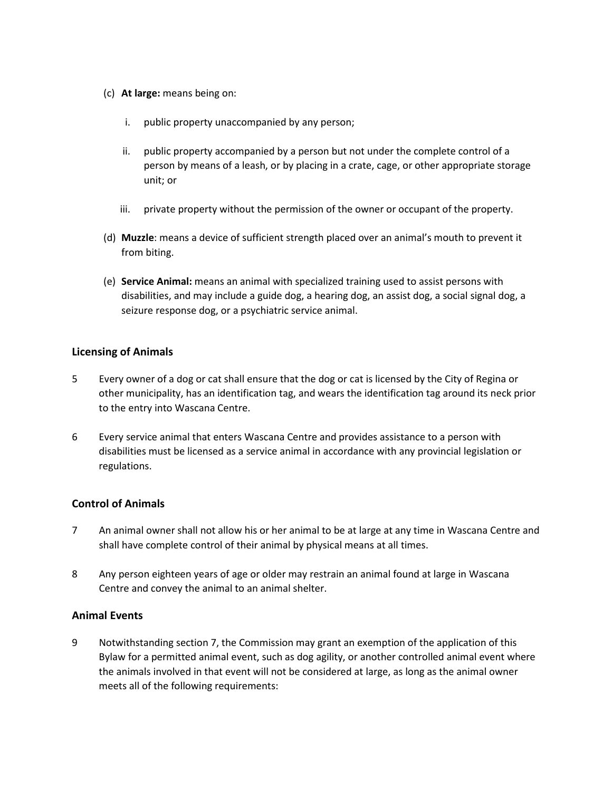- (c) **At large:** means being on:
	- i. public property unaccompanied by any person;
	- ii. public property accompanied by a person but not under the complete control of a person by means of a leash, or by placing in a crate, cage, or other appropriate storage unit; or
	- iii. private property without the permission of the owner or occupant of the property.
- (d) **Muzzle**: means a device of sufficient strength placed over an animal's mouth to prevent it from biting.
- (e) **Service Animal:** means an animal with specialized training used to assist persons with disabilities, and may include a guide dog, a hearing dog, an assist dog, a social signal dog, a seizure response dog, or a psychiatric service animal.

#### **Licensing of Animals**

- 5 Every owner of a dog or cat shall ensure that the dog or cat is licensed by the City of Regina or other municipality, has an identification tag, and wears the identification tag around its neck prior to the entry into Wascana Centre.
- 6 Every service animal that enters Wascana Centre and provides assistance to a person with disabilities must be licensed as a service animal in accordance with any provincial legislation or regulations.

#### **Control of Animals**

- 7 An animal owner shall not allow his or her animal to be at large at any time in Wascana Centre and shall have complete control of their animal by physical means at all times.
- 8 Any person eighteen years of age or older may restrain an animal found at large in Wascana Centre and convey the animal to an animal shelter.

#### **Animal Events**

9 Notwithstanding section 7, the Commission may grant an exemption of the application of this Bylaw for a permitted animal event, such as dog agility, or another controlled animal event where the animals involved in that event will not be considered at large, as long as the animal owner meets all of the following requirements: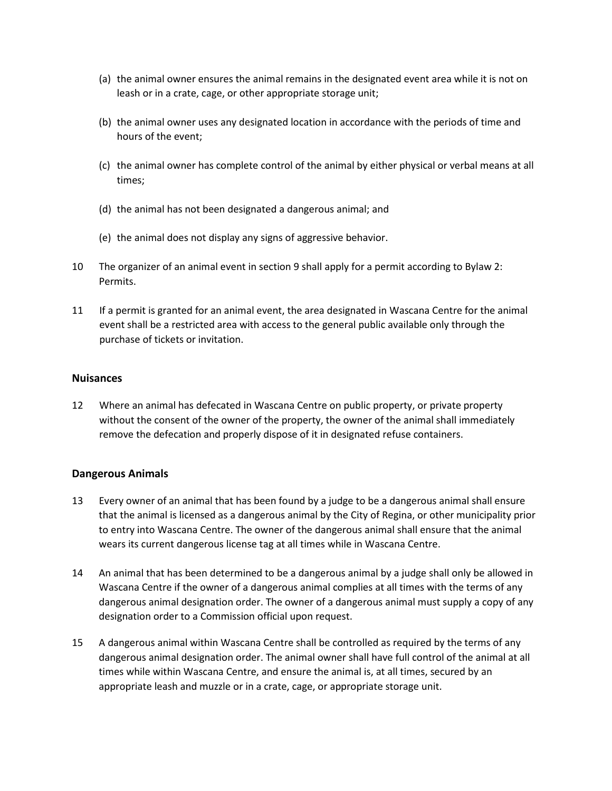- (a) the animal owner ensures the animal remains in the designated event area while it is not on leash or in a crate, cage, or other appropriate storage unit;
- (b) the animal owner uses any designated location in accordance with the periods of time and hours of the event;
- (c) the animal owner has complete control of the animal by either physical or verbal means at all times;
- (d) the animal has not been designated a dangerous animal; and
- (e) the animal does not display any signs of aggressive behavior.
- 10 The organizer of an animal event in section 9 shall apply for a permit according to Bylaw 2: Permits.
- 11 If a permit is granted for an animal event, the area designated in Wascana Centre for the animal event shall be a restricted area with access to the general public available only through the purchase of tickets or invitation.

#### **Nuisances**

12 Where an animal has defecated in Wascana Centre on public property, or private property without the consent of the owner of the property, the owner of the animal shall immediately remove the defecation and properly dispose of it in designated refuse containers.

#### **Dangerous Animals**

- 13 Every owner of an animal that has been found by a judge to be a dangerous animal shall ensure that the animal is licensed as a dangerous animal by the City of Regina, or other municipality prior to entry into Wascana Centre. The owner of the dangerous animal shall ensure that the animal wears its current dangerous license tag at all times while in Wascana Centre.
- 14 An animal that has been determined to be a dangerous animal by a judge shall only be allowed in Wascana Centre if the owner of a dangerous animal complies at all times with the terms of any dangerous animal designation order. The owner of a dangerous animal must supply a copy of any designation order to a Commission official upon request.
- 15 A dangerous animal within Wascana Centre shall be controlled as required by the terms of any dangerous animal designation order. The animal owner shall have full control of the animal at all times while within Wascana Centre, and ensure the animal is, at all times, secured by an appropriate leash and muzzle or in a crate, cage, or appropriate storage unit.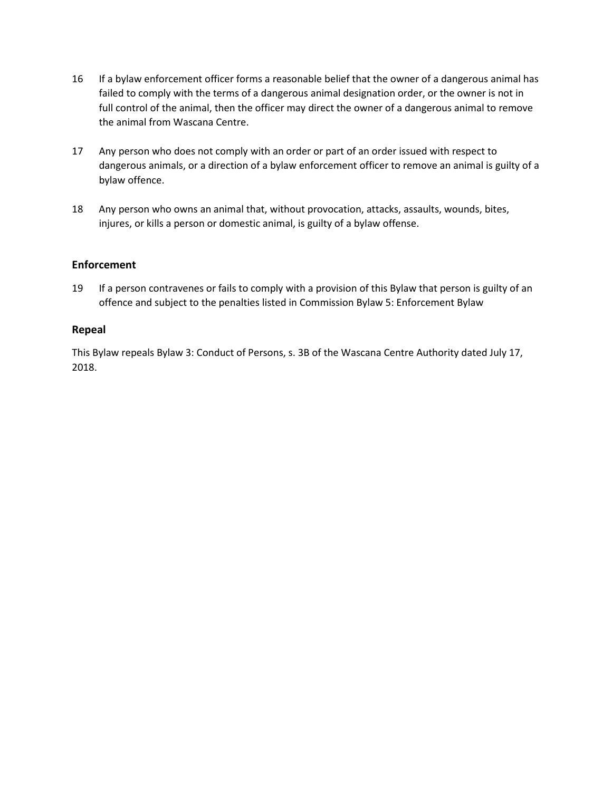- 16 If a bylaw enforcement officer forms a reasonable belief that the owner of a dangerous animal has failed to comply with the terms of a dangerous animal designation order, or the owner is not in full control of the animal, then the officer may direct the owner of a dangerous animal to remove the animal from Wascana Centre.
- 17 Any person who does not comply with an order or part of an order issued with respect to dangerous animals, or a direction of a bylaw enforcement officer to remove an animal is guilty of a bylaw offence.
- 18 Any person who owns an animal that, without provocation, attacks, assaults, wounds, bites, injures, or kills a person or domestic animal, is guilty of a bylaw offense.

#### **Enforcement**

19 If a person contravenes or fails to comply with a provision of this Bylaw that person is guilty of an offence and subject to the penalties listed in Commission Bylaw 5: Enforcement Bylaw

#### **Repeal**

This Bylaw repeals Bylaw 3: Conduct of Persons, s. 3B of the Wascana Centre Authority dated July 17, 2018.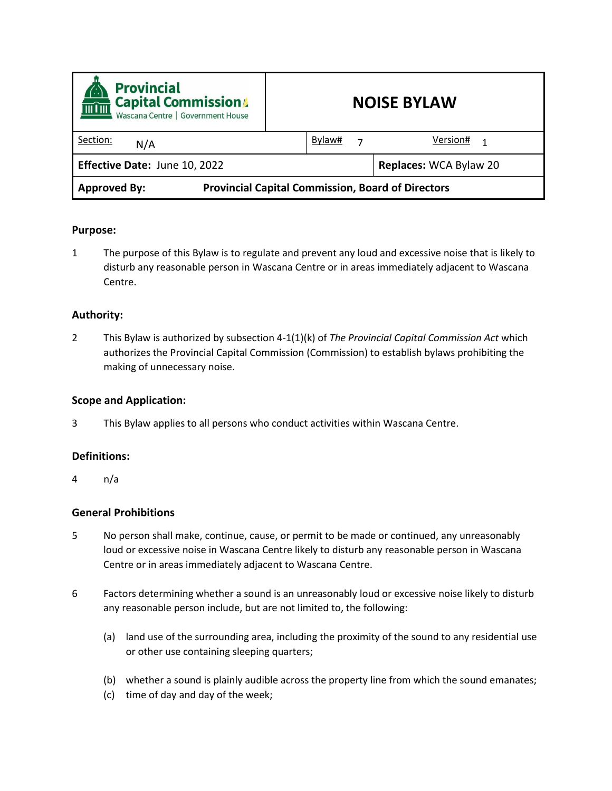<span id="page-27-0"></span>

| <b>Provincial</b><br><b>Capital Commission</b><br>mûm<br>Wascana Centre   Government House | <b>NOISE BYLAW</b>            |  |  |
|--------------------------------------------------------------------------------------------|-------------------------------|--|--|
| Section:<br>N/A                                                                            | Bylaw#<br>Version#            |  |  |
| Effective Date: June 10, 2022                                                              | <b>Replaces: WCA Bylaw 20</b> |  |  |
| <b>Provincial Capital Commission, Board of Directors</b><br><b>Approved By:</b>            |                               |  |  |

1 The purpose of this Bylaw is to regulate and prevent any loud and excessive noise that is likely to disturb any reasonable person in Wascana Centre or in areas immediately adjacent to Wascana Centre.

#### **Authority:**

2 This Bylaw is authorized by subsection 4-1(1)(k) of *The Provincial Capital Commission Act* which authorizes the Provincial Capital Commission (Commission) to establish bylaws prohibiting the making of unnecessary noise.

#### **Scope and Application:**

3 This Bylaw applies to all persons who conduct activities within Wascana Centre.

#### **Definitions:**

4 n/a

#### **General Prohibitions**

- 5 No person shall make, continue, cause, or permit to be made or continued, any unreasonably loud or excessive noise in Wascana Centre likely to disturb any reasonable person in Wascana Centre or in areas immediately adjacent to Wascana Centre.
- 6 Factors determining whether a sound is an unreasonably loud or excessive noise likely to disturb any reasonable person include, but are not limited to, the following:
	- (a) land use of the surrounding area, including the proximity of the sound to any residential use or other use containing sleeping quarters;
	- (b) whether a sound is plainly audible across the property line from which the sound emanates;
	- (c) time of day and day of the week;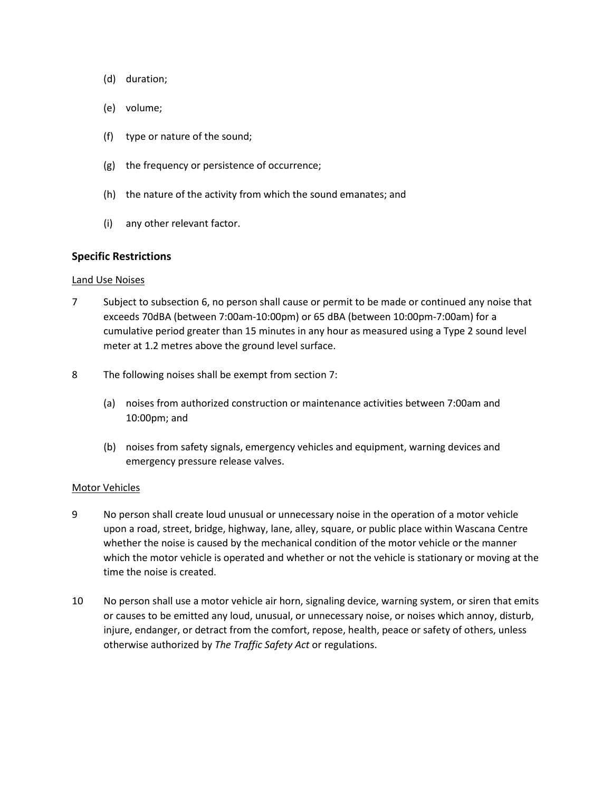- (d) duration;
- (e) volume;
- (f) type or nature of the sound;
- (g) the frequency or persistence of occurrence;
- (h) the nature of the activity from which the sound emanates; and
- (i) any other relevant factor.

#### **Specific Restrictions**

#### Land Use Noises

- 7 Subject to subsection 6, no person shall cause or permit to be made or continued any noise that exceeds 70dBA (between 7:00am-10:00pm) or 65 dBA (between 10:00pm-7:00am) for a cumulative period greater than 15 minutes in any hour as measured using a Type 2 sound level meter at 1.2 metres above the ground level surface.
- 8 The following noises shall be exempt from section 7:
	- (a) noises from authorized construction or maintenance activities between 7:00am and 10:00pm; and
	- (b) noises from safety signals, emergency vehicles and equipment, warning devices and emergency pressure release valves.

#### Motor Vehicles

- 9 No person shall create loud unusual or unnecessary noise in the operation of a motor vehicle upon a road, street, bridge, highway, lane, alley, square, or public place within Wascana Centre whether the noise is caused by the mechanical condition of the motor vehicle or the manner which the motor vehicle is operated and whether or not the vehicle is stationary or moving at the time the noise is created.
- 10 No person shall use a motor vehicle air horn, signaling device, warning system, or siren that emits or causes to be emitted any loud, unusual, or unnecessary noise, or noises which annoy, disturb, injure, endanger, or detract from the comfort, repose, health, peace or safety of others, unless otherwise authorized by *The Traffic Safety Act* or regulations.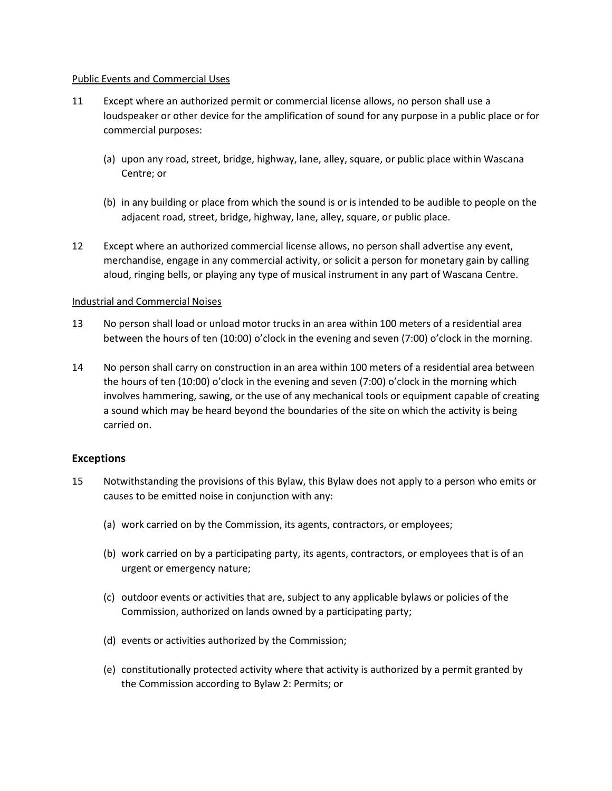#### Public Events and Commercial Uses

- 11 Except where an authorized permit or commercial license allows, no person shall use a loudspeaker or other device for the amplification of sound for any purpose in a public place or for commercial purposes:
	- (a) upon any road, street, bridge, highway, lane, alley, square, or public place within Wascana Centre; or
	- (b) in any building or place from which the sound is or is intended to be audible to people on the adjacent road, street, bridge, highway, lane, alley, square, or public place.
- 12 Except where an authorized commercial license allows, no person shall advertise any event, merchandise, engage in any commercial activity, or solicit a person for monetary gain by calling aloud, ringing bells, or playing any type of musical instrument in any part of Wascana Centre.

#### Industrial and Commercial Noises

- 13 No person shall load or unload motor trucks in an area within 100 meters of a residential area between the hours of ten (10:00) o'clock in the evening and seven (7:00) o'clock in the morning.
- 14 No person shall carry on construction in an area within 100 meters of a residential area between the hours of ten (10:00) o'clock in the evening and seven (7:00) o'clock in the morning which involves hammering, sawing, or the use of any mechanical tools or equipment capable of creating a sound which may be heard beyond the boundaries of the site on which the activity is being carried on.

#### **Exceptions**

- 15 Notwithstanding the provisions of this Bylaw, this Bylaw does not apply to a person who emits or causes to be emitted noise in conjunction with any:
	- (a) work carried on by the Commission, its agents, contractors, or employees;
	- (b) work carried on by a participating party, its agents, contractors, or employees that is of an urgent or emergency nature;
	- (c) outdoor events or activities that are, subject to any applicable bylaws or policies of the Commission, authorized on lands owned by a participating party;
	- (d) events or activities authorized by the Commission;
	- (e) constitutionally protected activity where that activity is authorized by a permit granted by the Commission according to Bylaw 2: Permits; or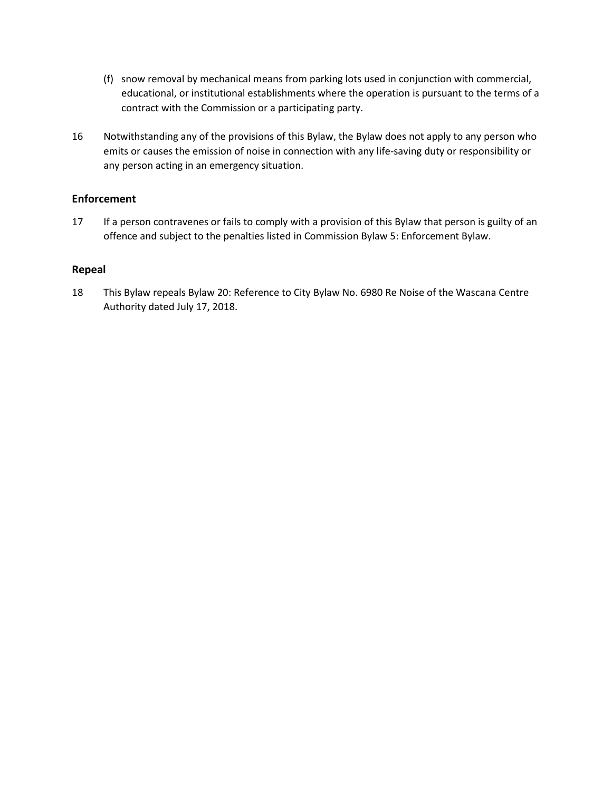- (f) snow removal by mechanical means from parking lots used in conjunction with commercial, educational, or institutional establishments where the operation is pursuant to the terms of a contract with the Commission or a participating party.
- 16 Notwithstanding any of the provisions of this Bylaw, the Bylaw does not apply to any person who emits or causes the emission of noise in connection with any life-saving duty or responsibility or any person acting in an emergency situation.

#### **Enforcement**

17 If a person contravenes or fails to comply with a provision of this Bylaw that person is guilty of an offence and subject to the penalties listed in Commission Bylaw 5: Enforcement Bylaw.

#### **Repeal**

18 This Bylaw repeals Bylaw 20: Reference to City Bylaw No. 6980 Re Noise of the Wascana Centre Authority dated July 17, 2018.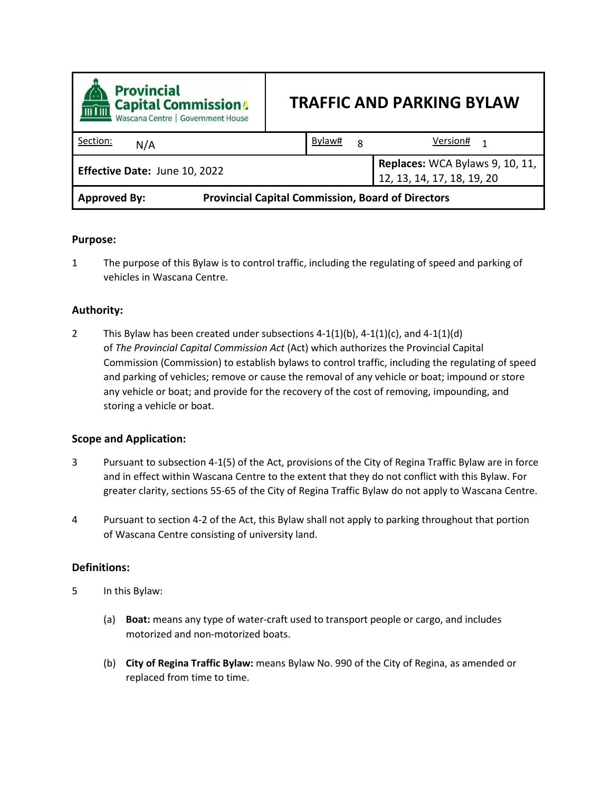<span id="page-31-0"></span>

| <b>Provincial</b><br><b>Capital Commission</b><br>Wascana Centre   Government House | <b>TRAF</b> |  |
|-------------------------------------------------------------------------------------|-------------|--|
| Section:<br>N/A                                                                     |             |  |
| :ffoetive Date: June 10, 2022                                                       |             |  |

## **TRAFFIC AND PARKING BYLAW**

| <u>Section:</u><br>N/A        | Bylaw# | Version#                                                      |
|-------------------------------|--------|---------------------------------------------------------------|
| Effective Date: June 10, 2022 |        | Replaces: WCA Bylaws 9, 10, 11,<br>12, 13, 14, 17, 18, 19, 20 |

**Approved By: Provincial Capital Commission, Board of Directors**

#### **Purpose:**

1 The purpose of this Bylaw is to control traffic, including the regulating of speed and parking of vehicles in Wascana Centre.

#### **Authority:**

2 This Bylaw has been created under subsections  $4-1(1)(b)$ ,  $4-1(1)(c)$ , and  $4-1(1)(d)$ of *The Provincial Capital Commission Act* (Act) which authorizes the Provincial Capital Commission (Commission) to establish bylaws to control traffic, including the regulating of speed and parking of vehicles; remove or cause the removal of any vehicle or boat; impound or store any vehicle or boat; and provide for the recovery of the cost of removing, impounding, and storing a vehicle or boat.

#### **Scope and Application:**

- 3 Pursuant to subsection 4-1(5) of the Act, provisions of the City of Regina Traffic Bylaw are in force and in effect within Wascana Centre to the extent that they do not conflict with this Bylaw. For greater clarity, sections 55-65 of the City of Regina Traffic Bylaw do not apply to Wascana Centre.
- 4 Pursuant to section 4-2 of the Act, this Bylaw shall not apply to parking throughout that portion of Wascana Centre consisting of university land.

#### **Definitions:**

- 5 In this Bylaw:
	- (a) **Boat:** means any type of water-craft used to transport people or cargo, and includes motorized and non-motorized boats.
	- (b) **City of Regina Traffic Bylaw:** means Bylaw No. 990 of the City of Regina, as amended or replaced from time to time.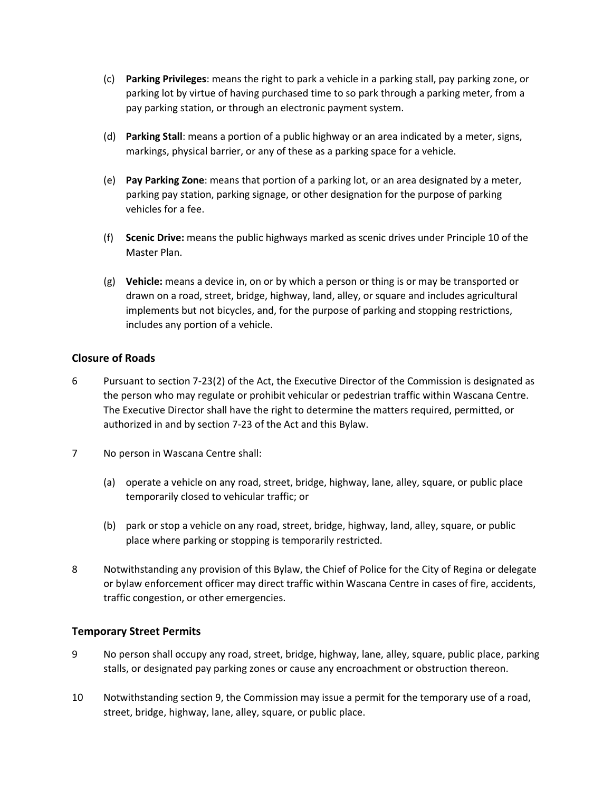- (c) **Parking Privileges**: means the right to park a vehicle in a parking stall, pay parking zone, or parking lot by virtue of having purchased time to so park through a parking meter, from a pay parking station, or through an electronic payment system.
- (d) **Parking Stall**: means a portion of a public highway or an area indicated by a meter, signs, markings, physical barrier, or any of these as a parking space for a vehicle.
- (e) **Pay Parking Zone**: means that portion of a parking lot, or an area designated by a meter, parking pay station, parking signage, or other designation for the purpose of parking vehicles for a fee.
- (f) **Scenic Drive:** means the public highways marked as scenic drives under Principle 10 of the Master Plan.
- (g) **Vehicle:** means a device in, on or by which a person or thing is or may be transported or drawn on a road, street, bridge, highway, land, alley, or square and includes agricultural implements but not bicycles, and, for the purpose of parking and stopping restrictions, includes any portion of a vehicle.

#### **Closure of Roads**

- 6 Pursuant to section 7-23(2) of the Act, the Executive Director of the Commission is designated as the person who may regulate or prohibit vehicular or pedestrian traffic within Wascana Centre. The Executive Director shall have the right to determine the matters required, permitted, or authorized in and by section 7-23 of the Act and this Bylaw.
- 7 No person in Wascana Centre shall:
	- (a) operate a vehicle on any road, street, bridge, highway, lane, alley, square, or public place temporarily closed to vehicular traffic; or
	- (b) park or stop a vehicle on any road, street, bridge, highway, land, alley, square, or public place where parking or stopping is temporarily restricted.
- 8 Notwithstanding any provision of this Bylaw, the Chief of Police for the City of Regina or delegate or bylaw enforcement officer may direct traffic within Wascana Centre in cases of fire, accidents, traffic congestion, or other emergencies.

#### **Temporary Street Permits**

- 9 No person shall occupy any road, street, bridge, highway, lane, alley, square, public place, parking stalls, or designated pay parking zones or cause any encroachment or obstruction thereon.
- 10 Notwithstanding section 9, the Commission may issue a permit for the temporary use of a road, street, bridge, highway, lane, alley, square, or public place.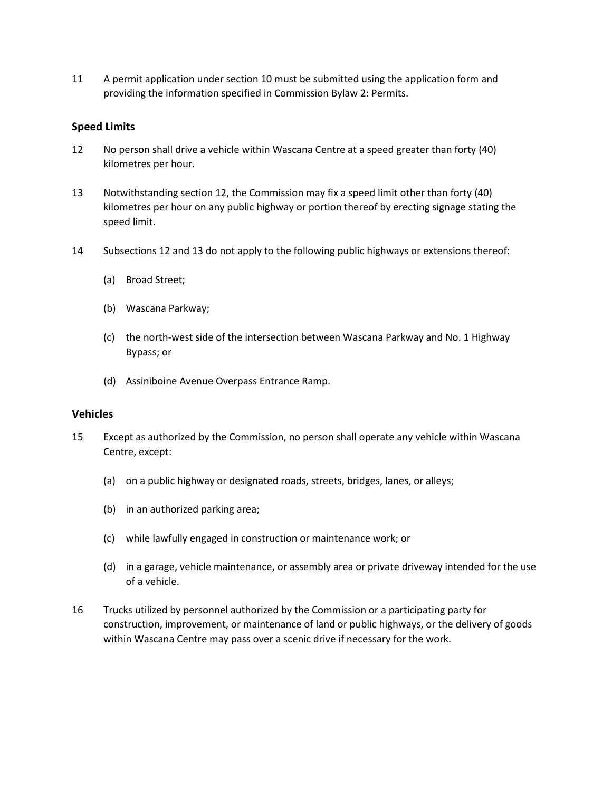11 A permit application under section 10 must be submitted using the application form and providing the information specified in Commission Bylaw 2: Permits.

#### **Speed Limits**

- 12 No person shall drive a vehicle within Wascana Centre at a speed greater than forty (40) kilometres per hour.
- 13 Notwithstanding section 12, the Commission may fix a speed limit other than forty (40) kilometres per hour on any public highway or portion thereof by erecting signage stating the speed limit.
- 14 Subsections 12 and 13 do not apply to the following public highways or extensions thereof:
	- (a) Broad Street;
	- (b) Wascana Parkway;
	- (c) the north-west side of the intersection between Wascana Parkway and No. 1 Highway Bypass; or
	- (d) Assiniboine Avenue Overpass Entrance Ramp.

#### **Vehicles**

- 15 Except as authorized by the Commission, no person shall operate any vehicle within Wascana Centre, except:
	- (a) on a public highway or designated roads, streets, bridges, lanes, or alleys;
	- (b) in an authorized parking area;
	- (c) while lawfully engaged in construction or maintenance work; or
	- (d) in a garage, vehicle maintenance, or assembly area or private driveway intended for the use of a vehicle.
- 16 Trucks utilized by personnel authorized by the Commission or a participating party for construction, improvement, or maintenance of land or public highways, or the delivery of goods within Wascana Centre may pass over a scenic drive if necessary for the work.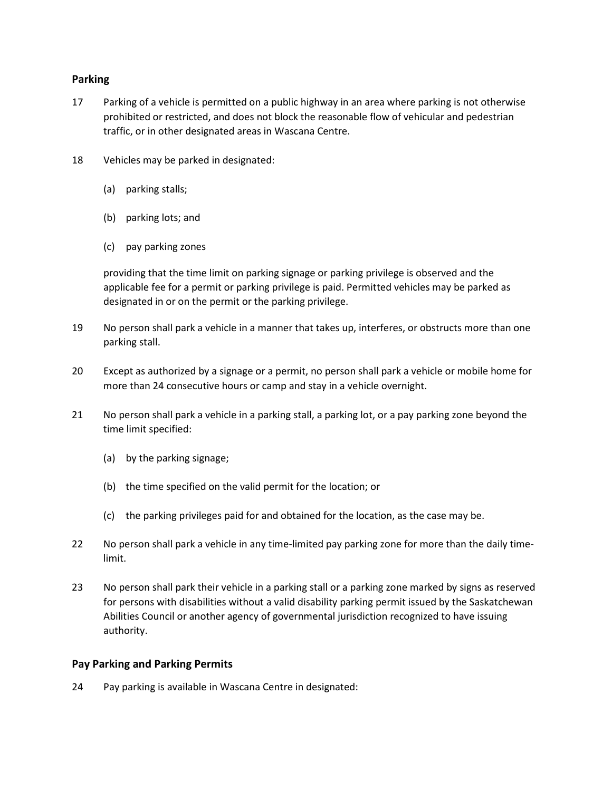#### **Parking**

- 17 Parking of a vehicle is permitted on a public highway in an area where parking is not otherwise prohibited or restricted, and does not block the reasonable flow of vehicular and pedestrian traffic, or in other designated areas in Wascana Centre.
- 18 Vehicles may be parked in designated:
	- (a) parking stalls;
	- (b) parking lots; and
	- (c) pay parking zones

providing that the time limit on parking signage or parking privilege is observed and the applicable fee for a permit or parking privilege is paid. Permitted vehicles may be parked as designated in or on the permit or the parking privilege.

- 19 No person shall park a vehicle in a manner that takes up, interferes, or obstructs more than one parking stall.
- 20 Except as authorized by a signage or a permit, no person shall park a vehicle or mobile home for more than 24 consecutive hours or camp and stay in a vehicle overnight.
- 21 No person shall park a vehicle in a parking stall, a parking lot, or a pay parking zone beyond the time limit specified:
	- (a) by the parking signage;
	- (b) the time specified on the valid permit for the location; or
	- (c) the parking privileges paid for and obtained for the location, as the case may be.
- 22 No person shall park a vehicle in any time-limited pay parking zone for more than the daily timelimit.
- 23 No person shall park their vehicle in a parking stall or a parking zone marked by signs as reserved for persons with disabilities without a valid disability parking permit issued by the Saskatchewan Abilities Council or another agency of governmental jurisdiction recognized to have issuing authority.

#### **Pay Parking and Parking Permits**

24 Pay parking is available in Wascana Centre in designated: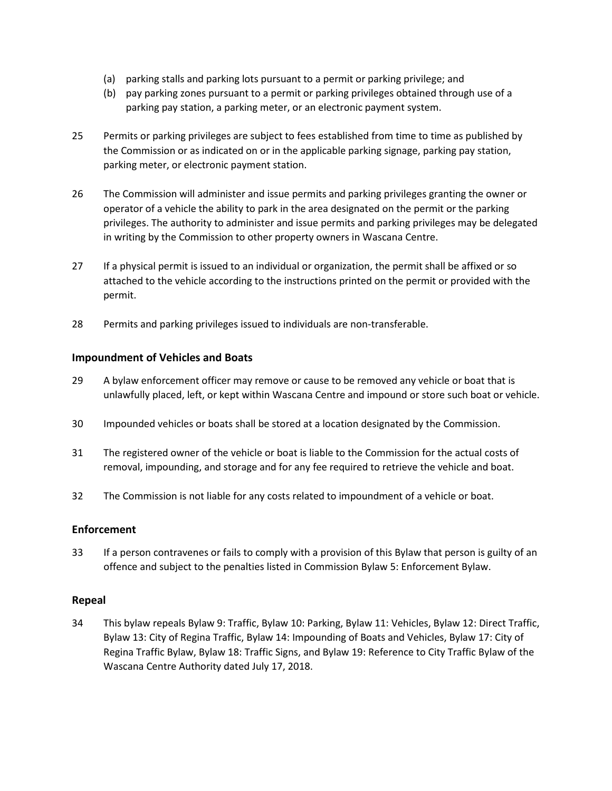- (a) parking stalls and parking lots pursuant to a permit or parking privilege; and
- (b) pay parking zones pursuant to a permit or parking privileges obtained through use of a parking pay station, a parking meter, or an electronic payment system.
- 25 Permits or parking privileges are subject to fees established from time to time as published by the Commission or as indicated on or in the applicable parking signage, parking pay station, parking meter, or electronic payment station.
- 26 The Commission will administer and issue permits and parking privileges granting the owner or operator of a vehicle the ability to park in the area designated on the permit or the parking privileges. The authority to administer and issue permits and parking privileges may be delegated in writing by the Commission to other property owners in Wascana Centre.
- 27 If a physical permit is issued to an individual or organization, the permit shall be affixed or so attached to the vehicle according to the instructions printed on the permit or provided with the permit.
- 28 Permits and parking privileges issued to individuals are non-transferable.

#### **Impoundment of Vehicles and Boats**

- 29 A bylaw enforcement officer may remove or cause to be removed any vehicle or boat that is unlawfully placed, left, or kept within Wascana Centre and impound or store such boat or vehicle.
- 30 Impounded vehicles or boats shall be stored at a location designated by the Commission.
- 31 The registered owner of the vehicle or boat is liable to the Commission for the actual costs of removal, impounding, and storage and for any fee required to retrieve the vehicle and boat.
- 32 The Commission is not liable for any costs related to impoundment of a vehicle or boat.

#### **Enforcement**

33 If a person contravenes or fails to comply with a provision of this Bylaw that person is guilty of an offence and subject to the penalties listed in Commission Bylaw 5: Enforcement Bylaw.

#### **Repeal**

34 This bylaw repeals Bylaw 9: Traffic, Bylaw 10: Parking, Bylaw 11: Vehicles, Bylaw 12: Direct Traffic, Bylaw 13: City of Regina Traffic, Bylaw 14: Impounding of Boats and Vehicles, Bylaw 17: City of Regina Traffic Bylaw, Bylaw 18: Traffic Signs, and Bylaw 19: Reference to City Traffic Bylaw of the Wascana Centre Authority dated July 17, 2018.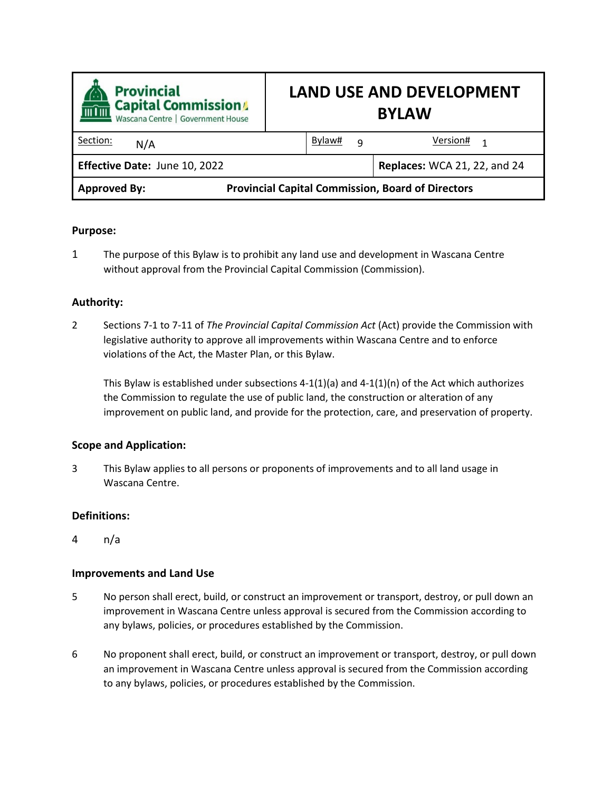<span id="page-36-0"></span>

| <b>Provincial</b><br><b>Capital Commission</b><br>Wascana Centre   Government House |  |
|-------------------------------------------------------------------------------------|--|
| Section:<br>N/A                                                                     |  |

# **LAND USE AND DEVELOPMENT BYLAW**

| <b>Provincial Capital Commission, Board of Directors</b><br><b>Approved By:</b> |        |   |                                     |  |
|---------------------------------------------------------------------------------|--------|---|-------------------------------------|--|
| Effective Date: June 10, 2022                                                   |        |   | <b>Replaces: WCA 21, 22, and 24</b> |  |
| Section:<br>N/A                                                                 | Bylaw# | O | Version#<br>$\overline{\mathbf{1}}$ |  |
|                                                                                 |        |   |                                     |  |

#### **Purpose:**

1 The purpose of this Bylaw is to prohibit any land use and development in Wascana Centre without approval from the Provincial Capital Commission (Commission).

#### **Authority:**

2 Sections 7-1 to 7-11 of *The Provincial Capital Commission Act* (Act) provide the Commission with legislative authority to approve all improvements within Wascana Centre and to enforce violations of the Act, the Master Plan, or this Bylaw.

This Bylaw is established under subsections  $4-1(1)(a)$  and  $4-1(1)(n)$  of the Act which authorizes the Commission to regulate the use of public land, the construction or alteration of any improvement on public land, and provide for the protection, care, and preservation of property.

#### **Scope and Application:**

3 This Bylaw applies to all persons or proponents of improvements and to all land usage in Wascana Centre.

#### **Definitions:**

4 n/a

#### **Improvements and Land Use**

- 5 No person shall erect, build, or construct an improvement or transport, destroy, or pull down an improvement in Wascana Centre unless approval is secured from the Commission according to any bylaws, policies, or procedures established by the Commission.
- 6 No proponent shall erect, build, or construct an improvement or transport, destroy, or pull down an improvement in Wascana Centre unless approval is secured from the Commission according to any bylaws, policies, or procedures established by the Commission.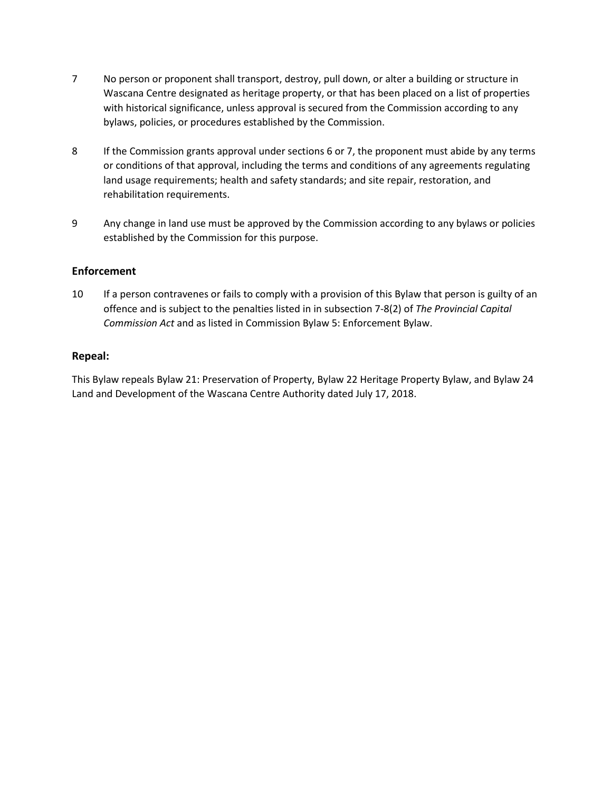- 7 No person or proponent shall transport, destroy, pull down, or alter a building or structure in Wascana Centre designated as heritage property, or that has been placed on a list of properties with historical significance, unless approval is secured from the Commission according to any bylaws, policies, or procedures established by the Commission.
- 8 If the Commission grants approval under sections 6 or 7, the proponent must abide by any terms or conditions of that approval, including the terms and conditions of any agreements regulating land usage requirements; health and safety standards; and site repair, restoration, and rehabilitation requirements.
- 9 Any change in land use must be approved by the Commission according to any bylaws or policies established by the Commission for this purpose.

#### **Enforcement**

10 If a person contravenes or fails to comply with a provision of this Bylaw that person is guilty of an offence and is subject to the penalties listed in in subsection 7-8(2) of *The Provincial Capital Commission Act* and as listed in Commission Bylaw 5: Enforcement Bylaw.

#### **Repeal:**

This Bylaw repeals Bylaw 21: Preservation of Property, Bylaw 22 Heritage Property Bylaw, and Bylaw 24 Land and Development of the Wascana Centre Authority dated July 17, 2018.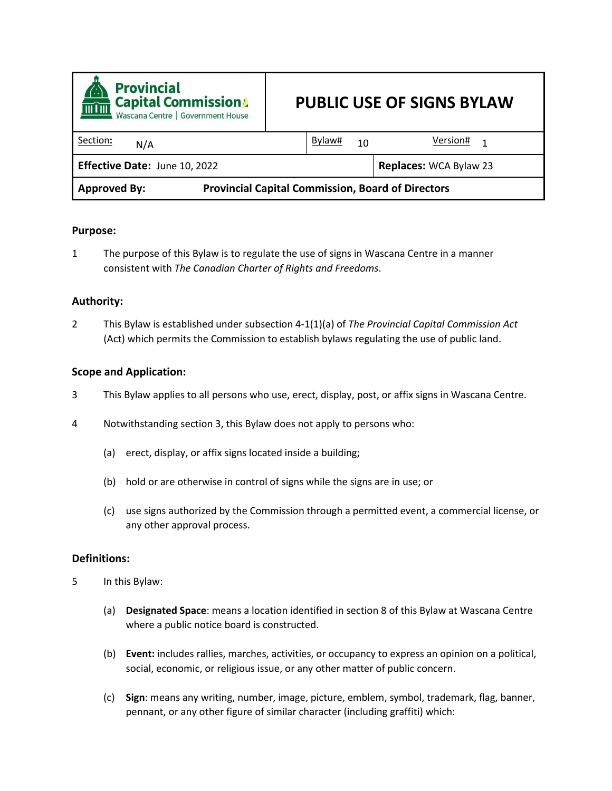<span id="page-38-0"></span>

| <b>Provincial</b><br><b>Capital Commission</b><br>孟<br>Wascana Centre   Government House | <b>PUBLIC USE OF SIGNS BYLAW</b> |  |
|------------------------------------------------------------------------------------------|----------------------------------|--|
| Section:<br>N/A                                                                          | Bylaw#<br>Version#<br>10<br>1    |  |
| Effective Date: June 10, 2022                                                            | Replaces: WCA Bylaw 23           |  |
| <b>Provincial Capital Commission, Board of Directors</b><br><b>Approved By:</b>          |                                  |  |

1 The purpose of this Bylaw is to regulate the use of signs in Wascana Centre in a manner consistent with *The Canadian Charter of Rights and Freedoms*.

#### **Authority:**

2 This Bylaw is established under subsection 4-1(1)(a) of *The Provincial Capital Commission Act* (Act) which permits the Commission to establish bylaws regulating the use of public land.

#### **Scope and Application:**

- 3 This Bylaw applies to all persons who use, erect, display, post, or affix signs in Wascana Centre.
- 4 Notwithstanding section 3, this Bylaw does not apply to persons who:
	- (a) erect, display, or affix signs located inside a building;
	- (b) hold or are otherwise in control of signs while the signs are in use; or
	- (c) use signs authorized by the Commission through a permitted event, a commercial license, or any other approval process.

#### **Definitions:**

- 5 In this Bylaw:
	- (a) **Designated Space**: means a location identified in section 8 of this Bylaw at Wascana Centre where a public notice board is constructed.
	- (b) **Event:** includes rallies, marches, activities, or occupancy to express an opinion on a political, social, economic, or religious issue, or any other matter of public concern.
	- (c) **Sign**: means any writing, number, image, picture, emblem, symbol, trademark, flag, banner, pennant, or any other figure of similar character (including graffiti) which: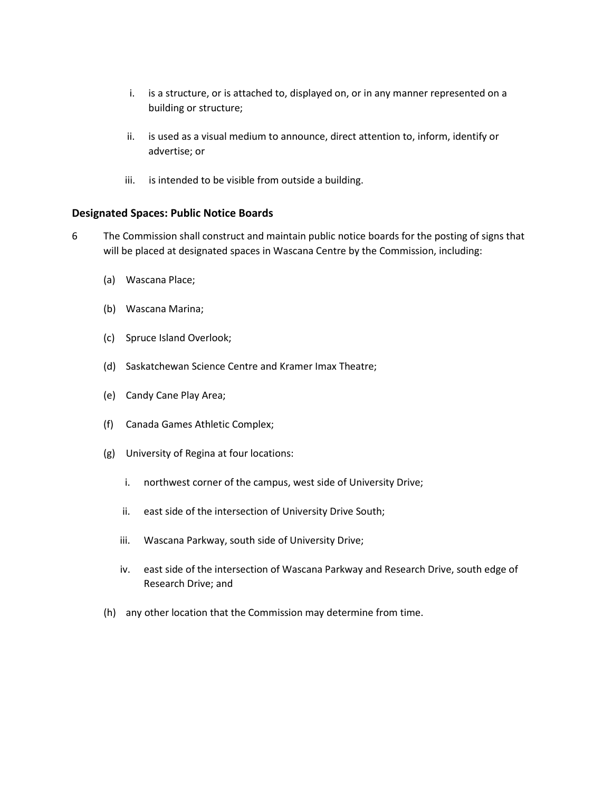- i. is a structure, or is attached to, displayed on, or in any manner represented on a building or structure;
- ii. is used as a visual medium to announce, direct attention to, inform, identify or advertise; or
- iii. is intended to be visible from outside a building.

#### **Designated Spaces: Public Notice Boards**

- 6 The Commission shall construct and maintain public notice boards for the posting of signs that will be placed at designated spaces in Wascana Centre by the Commission, including:
	- (a) Wascana Place;
	- (b) Wascana Marina;
	- (c) Spruce Island Overlook;
	- (d) Saskatchewan Science Centre and Kramer Imax Theatre;
	- (e) Candy Cane Play Area;
	- (f) Canada Games Athletic Complex;
	- (g) University of Regina at four locations:
		- i. northwest corner of the campus, west side of University Drive;
		- ii. east side of the intersection of University Drive South;
		- iii. Wascana Parkway, south side of University Drive;
		- iv. east side of the intersection of Wascana Parkway and Research Drive, south edge of Research Drive; and
	- (h) any other location that the Commission may determine from time.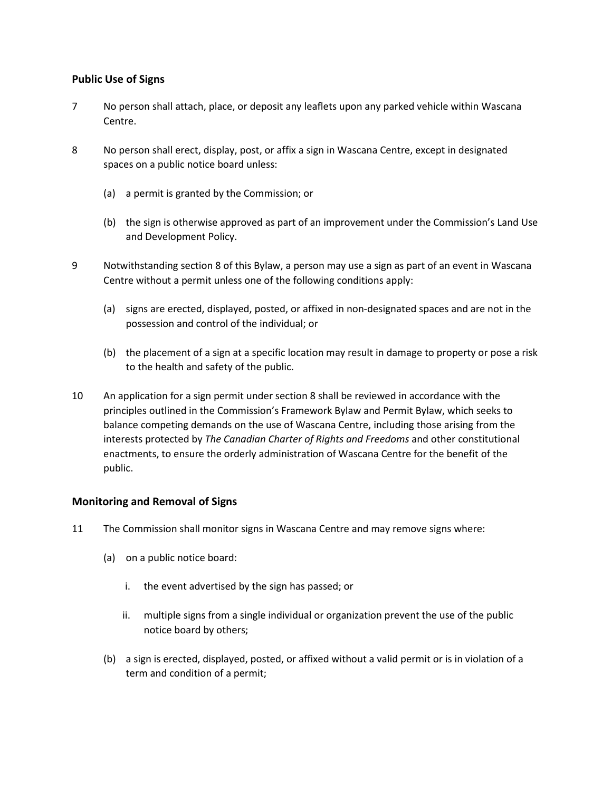#### **Public Use of Signs**

- 7 No person shall attach, place, or deposit any leaflets upon any parked vehicle within Wascana Centre.
- 8 No person shall erect, display, post, or affix a sign in Wascana Centre, except in designated spaces on a public notice board unless:
	- (a) a permit is granted by the Commission; or
	- (b) the sign is otherwise approved as part of an improvement under the Commission's Land Use and Development Policy.
- 9 Notwithstanding section 8 of this Bylaw, a person may use a sign as part of an event in Wascana Centre without a permit unless one of the following conditions apply:
	- (a) signs are erected, displayed, posted, or affixed in non-designated spaces and are not in the possession and control of the individual; or
	- (b) the placement of a sign at a specific location may result in damage to property or pose a risk to the health and safety of the public.
- 10 An application for a sign permit under section 8 shall be reviewed in accordance with the principles outlined in the Commission's Framework Bylaw and Permit Bylaw, which seeks to balance competing demands on the use of Wascana Centre, including those arising from the interests protected by *The Canadian Charter of Rights and Freedoms* and other constitutional enactments, to ensure the orderly administration of Wascana Centre for the benefit of the public.

#### **Monitoring and Removal of Signs**

- 11 The Commission shall monitor signs in Wascana Centre and may remove signs where:
	- (a) on a public notice board:
		- i. the event advertised by the sign has passed; or
		- ii. multiple signs from a single individual or organization prevent the use of the public notice board by others;
	- (b) a sign is erected, displayed, posted, or affixed without a valid permit or is in violation of a term and condition of a permit;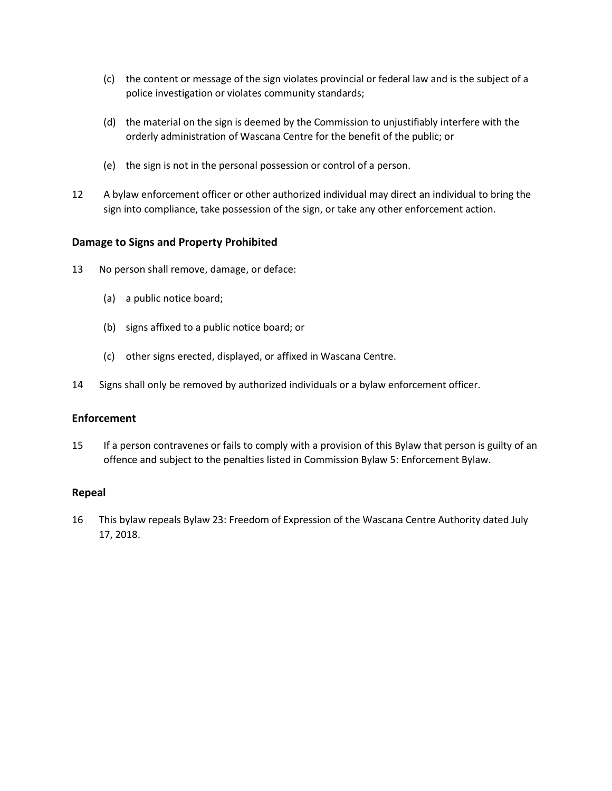- (c) the content or message of the sign violates provincial or federal law and is the subject of a police investigation or violates community standards;
- (d) the material on the sign is deemed by the Commission to unjustifiably interfere with the orderly administration of Wascana Centre for the benefit of the public; or
- (e) the sign is not in the personal possession or control of a person.
- 12 A bylaw enforcement officer or other authorized individual may direct an individual to bring the sign into compliance, take possession of the sign, or take any other enforcement action.

#### **Damage to Signs and Property Prohibited**

- 13 No person shall remove, damage, or deface:
	- (a) a public notice board;
	- (b) signs affixed to a public notice board; or
	- (c) other signs erected, displayed, or affixed in Wascana Centre.
- 14 Signs shall only be removed by authorized individuals or a bylaw enforcement officer.

#### **Enforcement**

15 If a person contravenes or fails to comply with a provision of this Bylaw that person is guilty of an offence and subject to the penalties listed in Commission Bylaw 5: Enforcement Bylaw.

#### **Repeal**

16 This bylaw repeals Bylaw 23: Freedom of Expression of the Wascana Centre Authority dated July 17, 2018.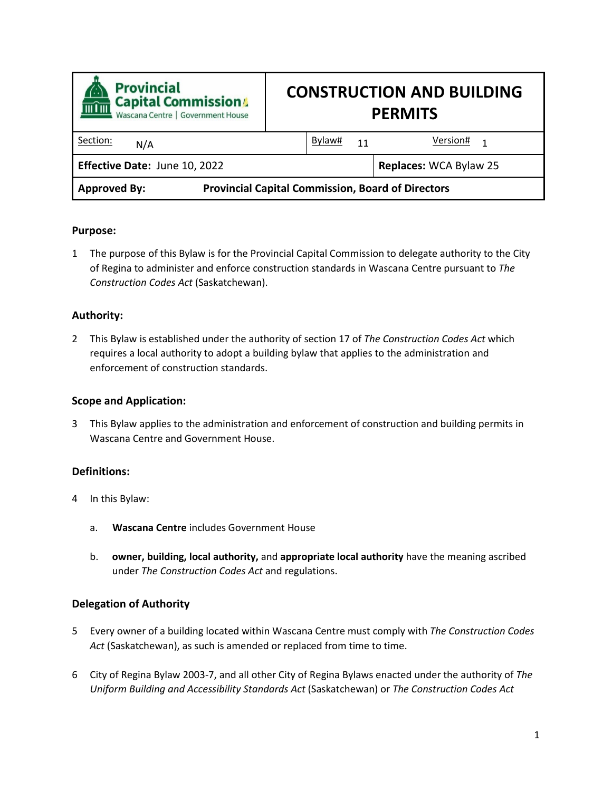<span id="page-42-0"></span>

| <b>Provincial</b><br><b>Capital Commission</b><br>而而<br>Wascana Centre   Government House | <b>CONSTRUCTION AND BUILDING</b><br><b>PERMITS</b> |  |
|-------------------------------------------------------------------------------------------|----------------------------------------------------|--|
| Section:<br>N/A                                                                           | Bylaw#<br>Version#<br>11<br>1                      |  |
| Effective Date: June 10, 2022                                                             | <b>Replaces: WCA Bylaw 25</b>                      |  |
| <b>Provincial Capital Commission, Board of Directors</b><br><b>Approved By:</b>           |                                                    |  |

1 The purpose of this Bylaw is for the Provincial Capital Commission to delegate authority to the City of Regina to administer and enforce construction standards in Wascana Centre pursuant to *The Construction Codes Act* (Saskatchewan).

#### **Authority:**

2 This Bylaw is established under the authority of section 17 of *The Construction Codes Act* which requires a local authority to adopt a building bylaw that applies to the administration and enforcement of construction standards.

#### **Scope and Application:**

3 This Bylaw applies to the administration and enforcement of construction and building permits in Wascana Centre and Government House.

#### **Definitions:**

- 4 In this Bylaw:
	- a. **Wascana Centre** includes Government House
	- b. **owner, building, local authority,** and **appropriate local authority** have the meaning ascribed under *The Construction Codes Act* and regulations.

#### **Delegation of Authority**

- 5 Every owner of a building located within Wascana Centre must comply with *The Construction Codes Act* (Saskatchewan), as such is amended or replaced from time to time.
- 6 City of Regina Bylaw 2003-7, and all other City of Regina Bylaws enacted under the authority of *The Uniform Building and Accessibility Standards Act* (Saskatchewan) or *The Construction Codes Act*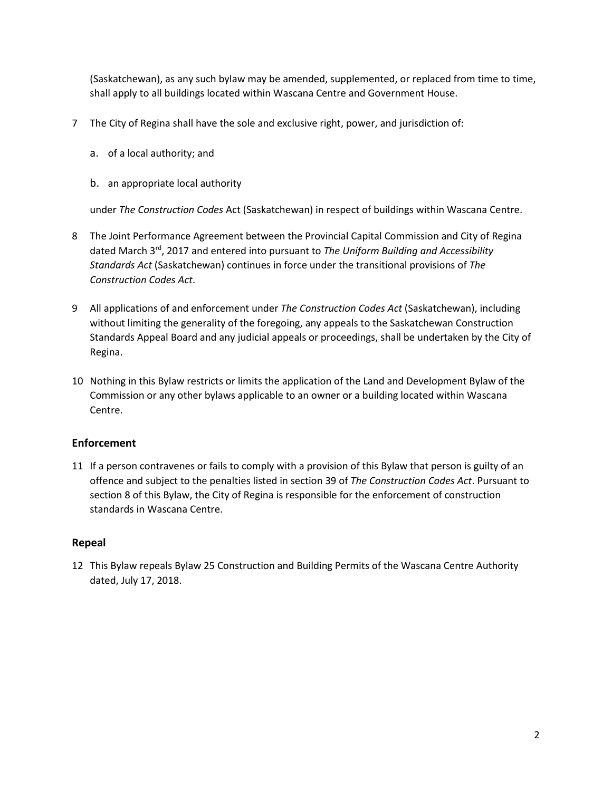(Saskatchewan), as any such bylaw may be amended, supplemented, or replaced from time to time, shall apply to all buildings located within Wascana Centre and Government House.

- 7 The City of Regina shall have the sole and exclusive right, power, and jurisdiction of:
	- a. of a local authority; and
	- b. an appropriate local authority

under *The Construction Codes* Act (Saskatchewan) in respect of buildings within Wascana Centre.

- 8 The Joint Performance Agreement between the Provincial Capital Commission and City of Regina dated March 3rd, 2017 and entered into pursuant to *The Uniform Building and Accessibility Standards Act* (Saskatchewan) continues in force under the transitional provisions of *The Construction Codes Act*.
- 9 All applications of and enforcement under *The Construction Codes Act* (Saskatchewan), including without limiting the generality of the foregoing, any appeals to the Saskatchewan Construction Standards Appeal Board and any judicial appeals or proceedings, shall be undertaken by the City of Regina.
- 10 Nothing in this Bylaw restricts or limits the application of the Land and Development Bylaw of the Commission or any other bylaws applicable to an owner or a building located within Wascana Centre.

#### **Enforcement**

11 If a person contravenes or fails to comply with a provision of this Bylaw that person is guilty of an offence and subject to the penalties listed in section 39 of *The Construction Codes Act*. Pursuant to section 8 of this Bylaw, the City of Regina is responsible for the enforcement of construction standards in Wascana Centre.

#### **Repeal**

12 This Bylaw repeals Bylaw 25 Construction and Building Permits of the Wascana Centre Authority dated, July 17, 2018.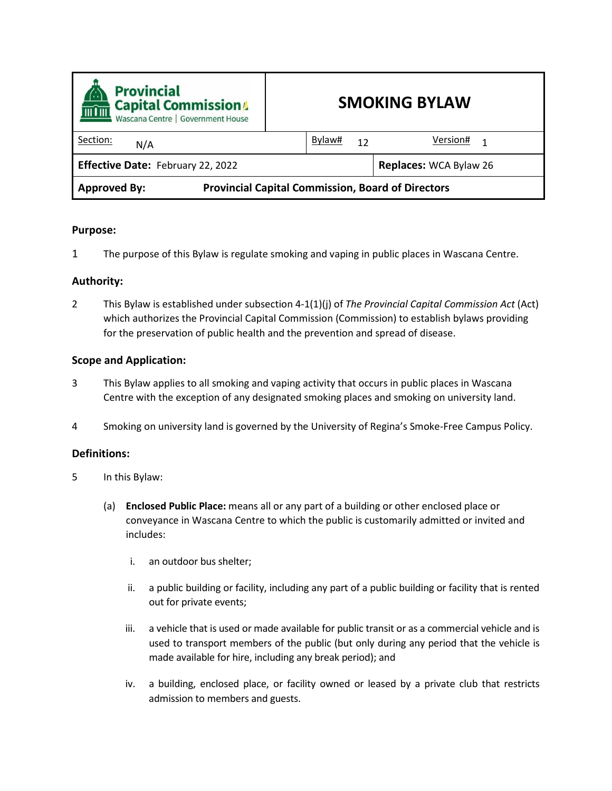<span id="page-44-0"></span>

| <b>Provincial</b><br><b>THE CAPTER COMMISSION</b><br>Wascana Centre   Government House | <b>SMOKING BYLAW</b>          |  |
|----------------------------------------------------------------------------------------|-------------------------------|--|
| Section:<br>N/A                                                                        | Bylaw#<br>Version#<br>12      |  |
| Effective Date: February 22, 2022                                                      | <b>Replaces: WCA Bylaw 26</b> |  |
| <b>Provincial Capital Commission, Board of Directors</b><br><b>Approved By:</b>        |                               |  |

1 The purpose of this Bylaw is regulate smoking and vaping in public places in Wascana Centre.

#### **Authority:**

2 This Bylaw is established under subsection 4-1(1)(j) of *The Provincial Capital Commission Act* (Act) which authorizes the Provincial Capital Commission (Commission) to establish bylaws providing for the preservation of public health and the prevention and spread of disease.

#### **Scope and Application:**

- 3 This Bylaw applies to all smoking and vaping activity that occurs in public places in Wascana Centre with the exception of any designated smoking places and smoking on university land.
- 4 Smoking on university land is governed by the University of Regina's Smoke-Free Campus Policy.

#### **Definitions:**

- 5 In this Bylaw:
	- (a) **Enclosed Public Place:** means all or any part of a building or other enclosed place or conveyance in Wascana Centre to which the public is customarily admitted or invited and includes:
		- i. an outdoor bus shelter;
		- ii. a public building or facility, including any part of a public building or facility that is rented out for private events;
		- iii. a vehicle that is used or made available for public transit or as a commercial vehicle and is used to transport members of the public (but only during any period that the vehicle is made available for hire, including any break period); and
		- iv. a building, enclosed place, or facility owned or leased by a private club that restricts admission to members and guests.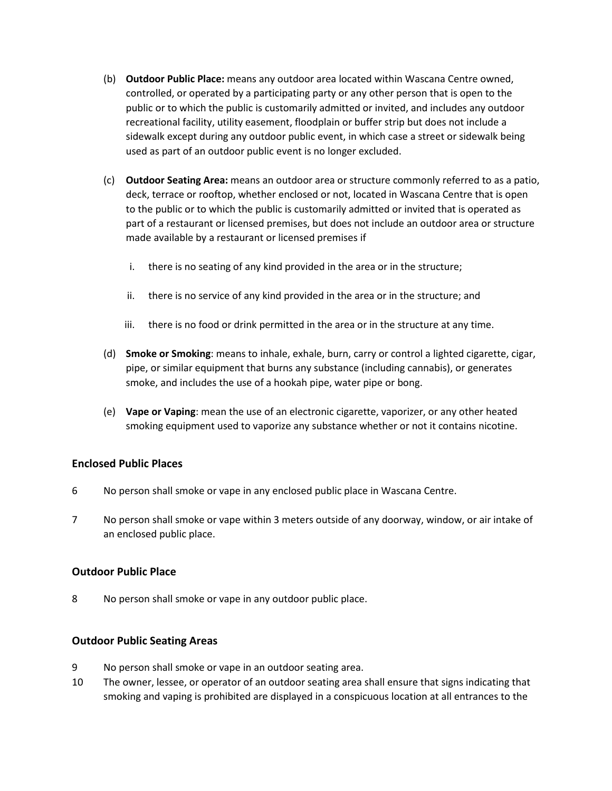- (b) **Outdoor Public Place:** means any outdoor area located within Wascana Centre owned, controlled, or operated by a participating party or any other person that is open to the public or to which the public is customarily admitted or invited, and includes any outdoor recreational facility, utility easement, floodplain or buffer strip but does not include a sidewalk except during any outdoor public event, in which case a street or sidewalk being used as part of an outdoor public event is no longer excluded.
- (c) **Outdoor Seating Area:** means an outdoor area or structure commonly referred to as a patio, deck, terrace or rooftop, whether enclosed or not, located in Wascana Centre that is open to the public or to which the public is customarily admitted or invited that is operated as part of a restaurant or licensed premises, but does not include an outdoor area or structure made available by a restaurant or licensed premises if
	- i. there is no seating of any kind provided in the area or in the structure;
	- ii. there is no service of any kind provided in the area or in the structure; and
	- iii. there is no food or drink permitted in the area or in the structure at any time.
- (d) **Smoke or Smoking**: means to inhale, exhale, burn, carry or control a lighted cigarette, cigar, pipe, or similar equipment that burns any substance (including cannabis), or generates smoke, and includes the use of a hookah pipe, water pipe or bong.
- (e) **Vape or Vaping**: mean the use of an electronic cigarette, vaporizer, or any other heated smoking equipment used to vaporize any substance whether or not it contains nicotine.

#### **Enclosed Public Places**

- 6 No person shall smoke or vape in any enclosed public place in Wascana Centre.
- 7 No person shall smoke or vape within 3 meters outside of any doorway, window, or air intake of an enclosed public place.

#### **Outdoor Public Place**

8 No person shall smoke or vape in any outdoor public place.

#### **Outdoor Public Seating Areas**

- 9 No person shall smoke or vape in an outdoor seating area.
- 10 The owner, lessee, or operator of an outdoor seating area shall ensure that signs indicating that smoking and vaping is prohibited are displayed in a conspicuous location at all entrances to the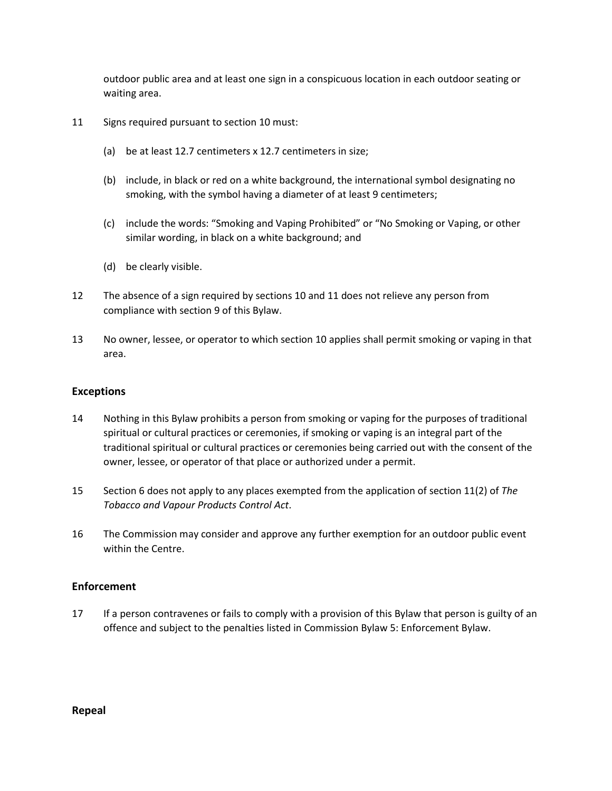outdoor public area and at least one sign in a conspicuous location in each outdoor seating or waiting area.

- 11 Signs required pursuant to section 10 must:
	- (a) be at least 12.7 centimeters x 12.7 centimeters in size;
	- (b) include, in black or red on a white background, the international symbol designating no smoking, with the symbol having a diameter of at least 9 centimeters;
	- (c) include the words: "Smoking and Vaping Prohibited" or "No Smoking or Vaping, or other similar wording, in black on a white background; and
	- (d) be clearly visible.
- 12 The absence of a sign required by sections 10 and 11 does not relieve any person from compliance with section 9 of this Bylaw.
- 13 No owner, lessee, or operator to which section 10 applies shall permit smoking or vaping in that area.

#### **Exceptions**

- 14 Nothing in this Bylaw prohibits a person from smoking or vaping for the purposes of traditional spiritual or cultural practices or ceremonies, if smoking or vaping is an integral part of the traditional spiritual or cultural practices or ceremonies being carried out with the consent of the owner, lessee, or operator of that place or authorized under a permit.
- 15 Section 6 does not apply to any places exempted from the application of section 11(2) of *The Tobacco and Vapour Products Control Act*.
- 16 The Commission may consider and approve any further exemption for an outdoor public event within the Centre.

#### **Enforcement**

17 If a person contravenes or fails to comply with a provision of this Bylaw that person is guilty of an offence and subject to the penalties listed in Commission Bylaw 5: Enforcement Bylaw.

#### **Repeal**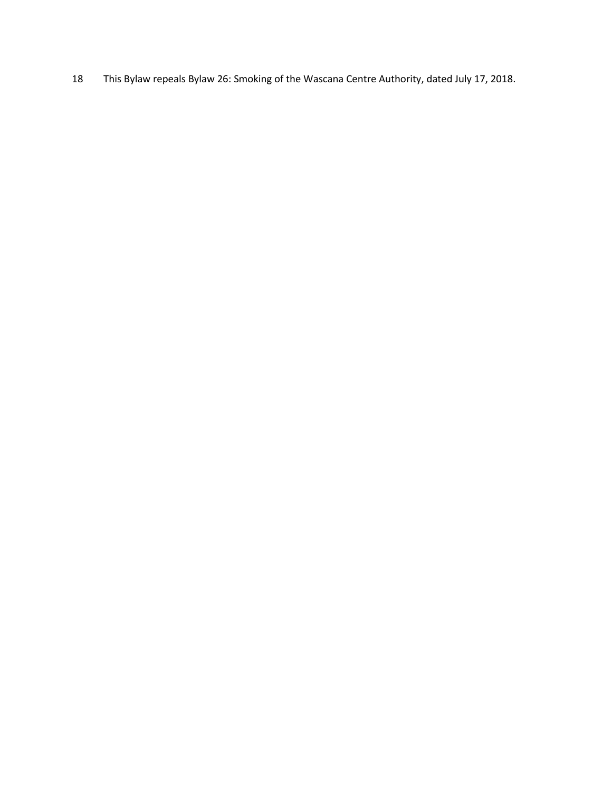This Bylaw repeals Bylaw 26: Smoking of the Wascana Centre Authority, dated July 17, 2018.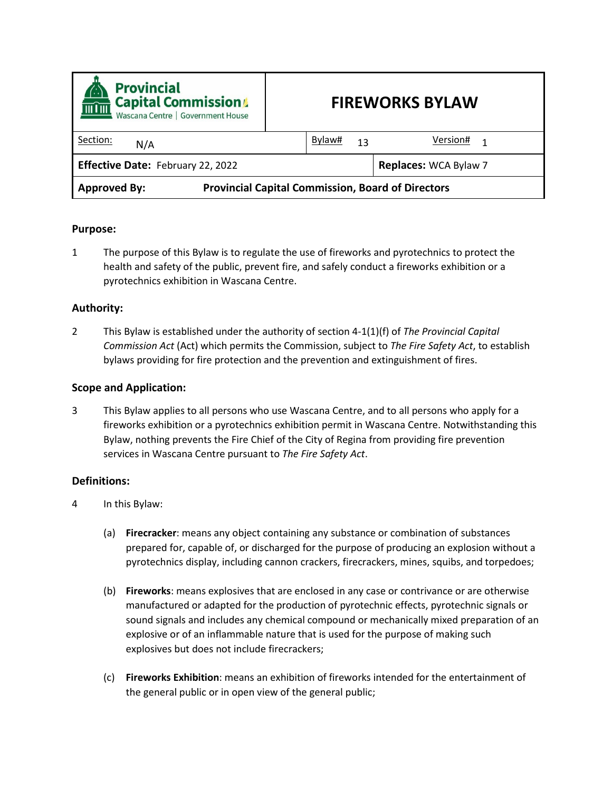<span id="page-48-0"></span>

| <b>Provincial</b><br><b>Capital Commission</b><br>Wascana Centre   Government House | <b>FIREWORKS BYLAW</b>       |  |
|-------------------------------------------------------------------------------------|------------------------------|--|
| Section:<br>N/A                                                                     | Bylaw#<br>Version#<br>13     |  |
| Effective Date: February 22, 2022                                                   | <b>Replaces: WCA Bylaw 7</b> |  |
| <b>Provincial Capital Commission, Board of Directors</b><br><b>Approved By:</b>     |                              |  |

1 The purpose of this Bylaw is to regulate the use of fireworks and pyrotechnics to protect the health and safety of the public, prevent fire, and safely conduct a fireworks exhibition or a pyrotechnics exhibition in Wascana Centre.

#### **Authority:**

2 This Bylaw is established under the authority of section 4-1(1)(f) of *The Provincial Capital Commission Act* (Act) which permits the Commission, subject to *The Fire Safety Act*, to establish bylaws providing for fire protection and the prevention and extinguishment of fires.

#### **Scope and Application:**

3 This Bylaw applies to all persons who use Wascana Centre, and to all persons who apply for a fireworks exhibition or a pyrotechnics exhibition permit in Wascana Centre. Notwithstanding this Bylaw, nothing prevents the Fire Chief of the City of Regina from providing fire prevention services in Wascana Centre pursuant to *The Fire Safety Act*.

#### **Definitions:**

- 4 In this Bylaw:
	- (a) **Firecracker**: means any object containing any substance or combination of substances prepared for, capable of, or discharged for the purpose of producing an explosion without a pyrotechnics display, including cannon crackers, firecrackers, mines, squibs, and torpedoes;
	- (b) **Fireworks**: means explosives that are enclosed in any case or contrivance or are otherwise manufactured or adapted for the production of pyrotechnic effects, pyrotechnic signals or sound signals and includes any chemical compound or mechanically mixed preparation of an explosive or of an inflammable nature that is used for the purpose of making such explosives but does not include firecrackers;
	- (c) **Fireworks Exhibition**: means an exhibition of fireworks intended for the entertainment of the general public or in open view of the general public;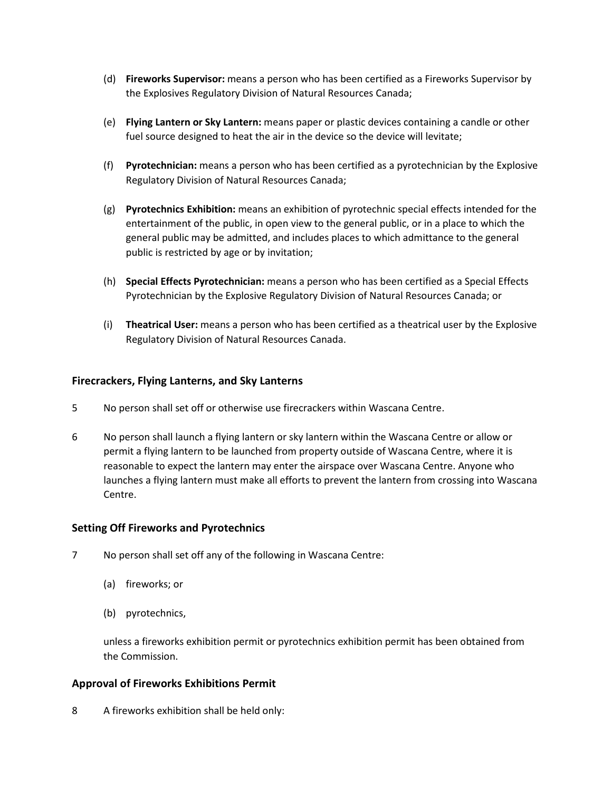- (d) **Fireworks Supervisor:** means a person who has been certified as a Fireworks Supervisor by the Explosives Regulatory Division of Natural Resources Canada;
- (e) **Flying Lantern or Sky Lantern:** means paper or plastic devices containing a candle or other fuel source designed to heat the air in the device so the device will levitate;
- (f) **Pyrotechnician:** means a person who has been certified as a pyrotechnician by the Explosive Regulatory Division of Natural Resources Canada;
- (g) **Pyrotechnics Exhibition:** means an exhibition of pyrotechnic special effects intended for the entertainment of the public, in open view to the general public, or in a place to which the general public may be admitted, and includes places to which admittance to the general public is restricted by age or by invitation;
- (h) **Special Effects Pyrotechnician:** means a person who has been certified as a Special Effects Pyrotechnician by the Explosive Regulatory Division of Natural Resources Canada; or
- (i) **Theatrical User:** means a person who has been certified as a theatrical user by the Explosive Regulatory Division of Natural Resources Canada.

#### **Firecrackers, Flying Lanterns, and Sky Lanterns**

- 5 No person shall set off or otherwise use firecrackers within Wascana Centre.
- 6 No person shall launch a flying lantern or sky lantern within the Wascana Centre or allow or permit a flying lantern to be launched from property outside of Wascana Centre, where it is reasonable to expect the lantern may enter the airspace over Wascana Centre. Anyone who launches a flying lantern must make all efforts to prevent the lantern from crossing into Wascana Centre.

#### **Setting Off Fireworks and Pyrotechnics**

- 7 No person shall set off any of the following in Wascana Centre:
	- (a) fireworks; or
	- (b) pyrotechnics,

unless a fireworks exhibition permit or pyrotechnics exhibition permit has been obtained from the Commission.

#### **Approval of Fireworks Exhibitions Permit**

8 A fireworks exhibition shall be held only: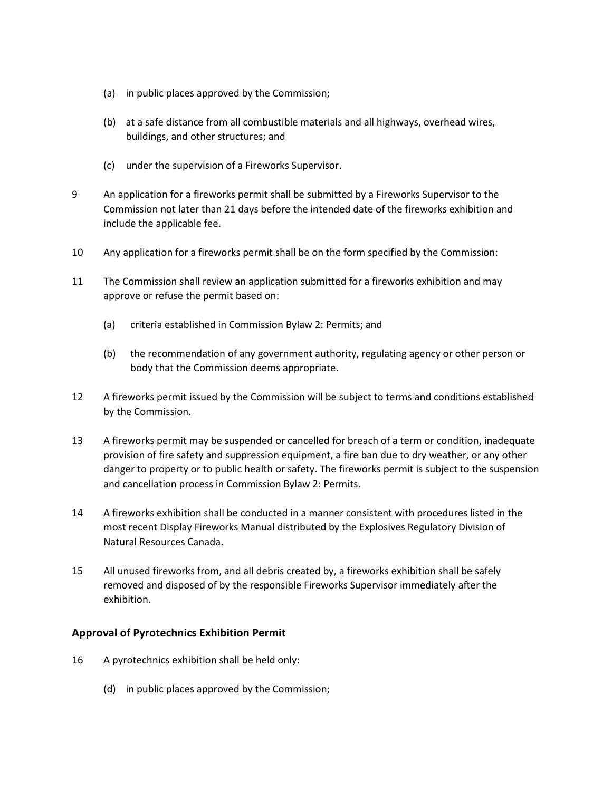- (a) in public places approved by the Commission;
- (b) at a safe distance from all combustible materials and all highways, overhead wires, buildings, and other structures; and
- (c) under the supervision of a Fireworks Supervisor.
- 9 An application for a fireworks permit shall be submitted by a Fireworks Supervisor to the Commission not later than 21 days before the intended date of the fireworks exhibition and include the applicable fee.
- 10 Any application for a fireworks permit shall be on the form specified by the Commission:
- 11 The Commission shall review an application submitted for a fireworks exhibition and may approve or refuse the permit based on:
	- (a) criteria established in Commission Bylaw 2: Permits; and
	- (b) the recommendation of any government authority, regulating agency or other person or body that the Commission deems appropriate.
- 12 A fireworks permit issued by the Commission will be subject to terms and conditions established by the Commission.
- 13 A fireworks permit may be suspended or cancelled for breach of a term or condition, inadequate provision of fire safety and suppression equipment, a fire ban due to dry weather, or any other danger to property or to public health or safety. The fireworks permit is subject to the suspension and cancellation process in Commission Bylaw 2: Permits.
- 14 A fireworks exhibition shall be conducted in a manner consistent with procedures listed in the most recent Display Fireworks Manual distributed by the Explosives Regulatory Division of Natural Resources Canada.
- 15 All unused fireworks from, and all debris created by, a fireworks exhibition shall be safely removed and disposed of by the responsible Fireworks Supervisor immediately after the exhibition.

#### **Approval of Pyrotechnics Exhibition Permit**

- 16 A pyrotechnics exhibition shall be held only:
	- (d) in public places approved by the Commission;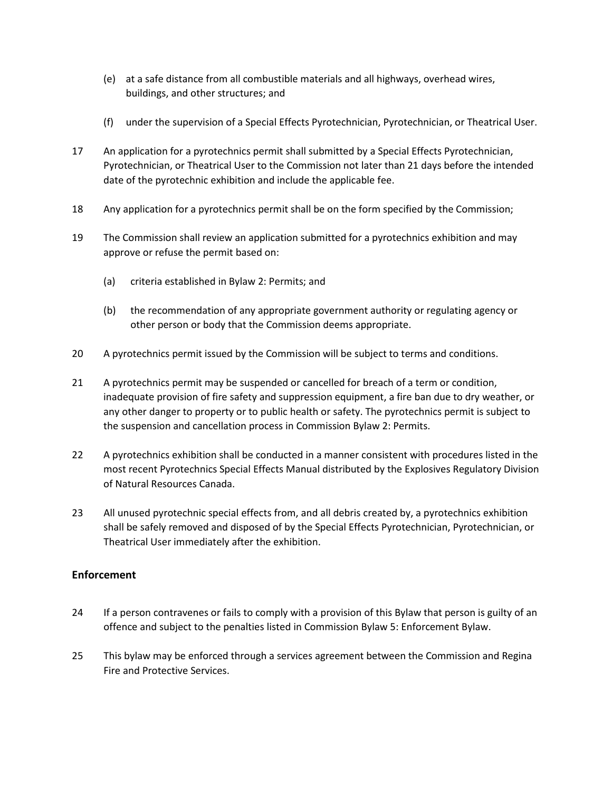- (e) at a safe distance from all combustible materials and all highways, overhead wires, buildings, and other structures; and
- (f) under the supervision of a Special Effects Pyrotechnician, Pyrotechnician, or Theatrical User.
- 17 An application for a pyrotechnics permit shall submitted by a Special Effects Pyrotechnician, Pyrotechnician, or Theatrical User to the Commission not later than 21 days before the intended date of the pyrotechnic exhibition and include the applicable fee.
- 18 Any application for a pyrotechnics permit shall be on the form specified by the Commission;
- 19 The Commission shall review an application submitted for a pyrotechnics exhibition and may approve or refuse the permit based on:
	- (a) criteria established in Bylaw 2: Permits; and
	- (b) the recommendation of any appropriate government authority or regulating agency or other person or body that the Commission deems appropriate.
- 20 A pyrotechnics permit issued by the Commission will be subject to terms and conditions.
- 21 A pyrotechnics permit may be suspended or cancelled for breach of a term or condition, inadequate provision of fire safety and suppression equipment, a fire ban due to dry weather, or any other danger to property or to public health or safety. The pyrotechnics permit is subject to the suspension and cancellation process in Commission Bylaw 2: Permits.
- 22 A pyrotechnics exhibition shall be conducted in a manner consistent with procedures listed in the most recent Pyrotechnics Special Effects Manual distributed by the Explosives Regulatory Division of Natural Resources Canada.
- 23 All unused pyrotechnic special effects from, and all debris created by, a pyrotechnics exhibition shall be safely removed and disposed of by the Special Effects Pyrotechnician, Pyrotechnician, or Theatrical User immediately after the exhibition.

#### **Enforcement**

- 24 If a person contravenes or fails to comply with a provision of this Bylaw that person is guilty of an offence and subject to the penalties listed in Commission Bylaw 5: Enforcement Bylaw.
- 25 This bylaw may be enforced through a services agreement between the Commission and Regina Fire and Protective Services.